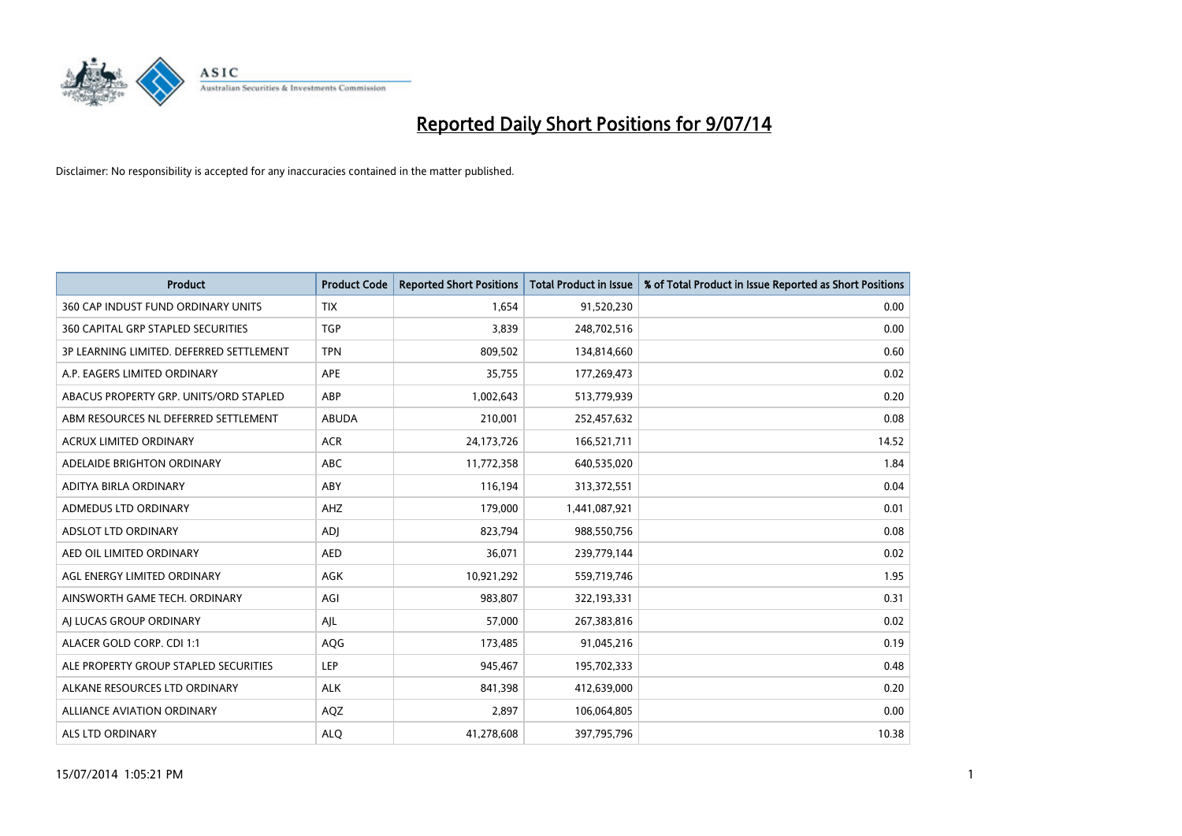

| <b>Product</b>                           | <b>Product Code</b> | <b>Reported Short Positions</b> | <b>Total Product in Issue</b> | % of Total Product in Issue Reported as Short Positions |
|------------------------------------------|---------------------|---------------------------------|-------------------------------|---------------------------------------------------------|
| 360 CAP INDUST FUND ORDINARY UNITS       | <b>TIX</b>          | 1,654                           | 91,520,230                    | 0.00                                                    |
| 360 CAPITAL GRP STAPLED SECURITIES       | <b>TGP</b>          | 3,839                           | 248,702,516                   | 0.00                                                    |
| 3P LEARNING LIMITED. DEFERRED SETTLEMENT | <b>TPN</b>          | 809,502                         | 134,814,660                   | 0.60                                                    |
| A.P. EAGERS LIMITED ORDINARY             | <b>APE</b>          | 35,755                          | 177,269,473                   | 0.02                                                    |
| ABACUS PROPERTY GRP. UNITS/ORD STAPLED   | ABP                 | 1,002,643                       | 513,779,939                   | 0.20                                                    |
| ABM RESOURCES NL DEFERRED SETTLEMENT     | <b>ABUDA</b>        | 210,001                         | 252,457,632                   | 0.08                                                    |
| <b>ACRUX LIMITED ORDINARY</b>            | <b>ACR</b>          | 24,173,726                      | 166,521,711                   | 14.52                                                   |
| ADELAIDE BRIGHTON ORDINARY               | <b>ABC</b>          | 11,772,358                      | 640,535,020                   | 1.84                                                    |
| ADITYA BIRLA ORDINARY                    | ABY                 | 116,194                         | 313,372,551                   | 0.04                                                    |
| ADMEDUS LTD ORDINARY                     | AHZ                 | 179,000                         | 1,441,087,921                 | 0.01                                                    |
| ADSLOT LTD ORDINARY                      | <b>ADI</b>          | 823,794                         | 988,550,756                   | 0.08                                                    |
| AED OIL LIMITED ORDINARY                 | <b>AED</b>          | 36,071                          | 239,779,144                   | 0.02                                                    |
| AGL ENERGY LIMITED ORDINARY              | AGK                 | 10,921,292                      | 559,719,746                   | 1.95                                                    |
| AINSWORTH GAME TECH. ORDINARY            | AGI                 | 983,807                         | 322,193,331                   | 0.31                                                    |
| AI LUCAS GROUP ORDINARY                  | AJL                 | 57,000                          | 267,383,816                   | 0.02                                                    |
| ALACER GOLD CORP. CDI 1:1                | AQG                 | 173,485                         | 91,045,216                    | 0.19                                                    |
| ALE PROPERTY GROUP STAPLED SECURITIES    | LEP                 | 945,467                         | 195,702,333                   | 0.48                                                    |
| ALKANE RESOURCES LTD ORDINARY            | <b>ALK</b>          | 841,398                         | 412,639,000                   | 0.20                                                    |
| ALLIANCE AVIATION ORDINARY               | AQZ                 | 2,897                           | 106,064,805                   | 0.00                                                    |
| ALS LTD ORDINARY                         | <b>ALO</b>          | 41,278,608                      | 397,795,796                   | 10.38                                                   |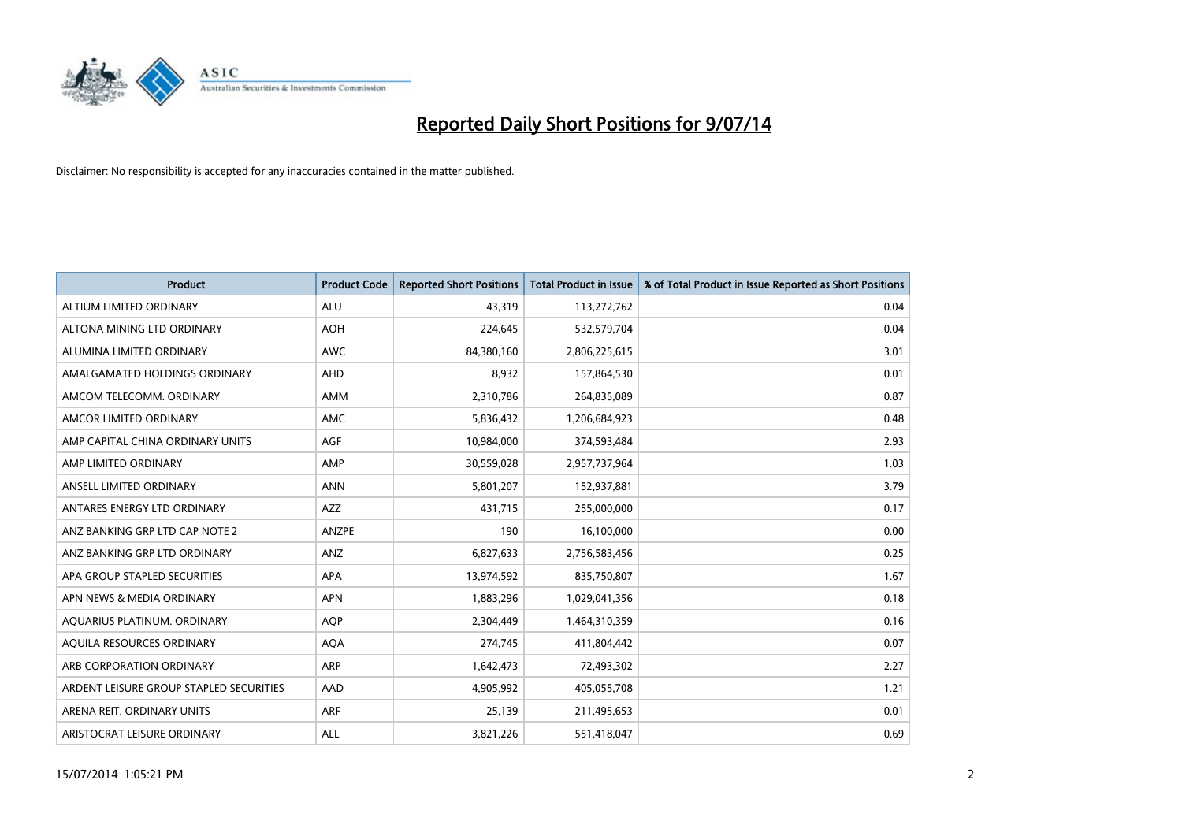

| <b>Product</b>                          | <b>Product Code</b> | <b>Reported Short Positions</b> | <b>Total Product in Issue</b> | % of Total Product in Issue Reported as Short Positions |
|-----------------------------------------|---------------------|---------------------------------|-------------------------------|---------------------------------------------------------|
| ALTIUM LIMITED ORDINARY                 | <b>ALU</b>          | 43,319                          | 113,272,762                   | 0.04                                                    |
| ALTONA MINING LTD ORDINARY              | <b>AOH</b>          | 224,645                         | 532,579,704                   | 0.04                                                    |
| ALUMINA LIMITED ORDINARY                | <b>AWC</b>          | 84,380,160                      | 2,806,225,615                 | 3.01                                                    |
| AMALGAMATED HOLDINGS ORDINARY           | <b>AHD</b>          | 8,932                           | 157,864,530                   | 0.01                                                    |
| AMCOM TELECOMM, ORDINARY                | <b>AMM</b>          | 2,310,786                       | 264,835,089                   | 0.87                                                    |
| AMCOR LIMITED ORDINARY                  | <b>AMC</b>          | 5,836,432                       | 1,206,684,923                 | 0.48                                                    |
| AMP CAPITAL CHINA ORDINARY UNITS        | AGF                 | 10,984,000                      | 374,593,484                   | 2.93                                                    |
| AMP LIMITED ORDINARY                    | AMP                 | 30,559,028                      | 2,957,737,964                 | 1.03                                                    |
| ANSELL LIMITED ORDINARY                 | <b>ANN</b>          | 5,801,207                       | 152,937,881                   | 3.79                                                    |
| ANTARES ENERGY LTD ORDINARY             | AZZ                 | 431,715                         | 255,000,000                   | 0.17                                                    |
| ANZ BANKING GRP LTD CAP NOTE 2          | ANZPE               | 190                             | 16,100,000                    | 0.00                                                    |
| ANZ BANKING GRP LTD ORDINARY            | ANZ                 | 6,827,633                       | 2,756,583,456                 | 0.25                                                    |
| APA GROUP STAPLED SECURITIES            | APA                 | 13,974,592                      | 835,750,807                   | 1.67                                                    |
| APN NEWS & MEDIA ORDINARY               | <b>APN</b>          | 1,883,296                       | 1,029,041,356                 | 0.18                                                    |
| AQUARIUS PLATINUM. ORDINARY             | AQP                 | 2,304,449                       | 1,464,310,359                 | 0.16                                                    |
| AQUILA RESOURCES ORDINARY               | <b>AQA</b>          | 274,745                         | 411,804,442                   | 0.07                                                    |
| ARB CORPORATION ORDINARY                | ARP                 | 1,642,473                       | 72,493,302                    | 2.27                                                    |
| ARDENT LEISURE GROUP STAPLED SECURITIES | AAD                 | 4,905,992                       | 405,055,708                   | 1.21                                                    |
| ARENA REIT. ORDINARY UNITS              | <b>ARF</b>          | 25,139                          | 211,495,653                   | 0.01                                                    |
| ARISTOCRAT LEISURE ORDINARY             | ALL                 | 3,821,226                       | 551,418,047                   | 0.69                                                    |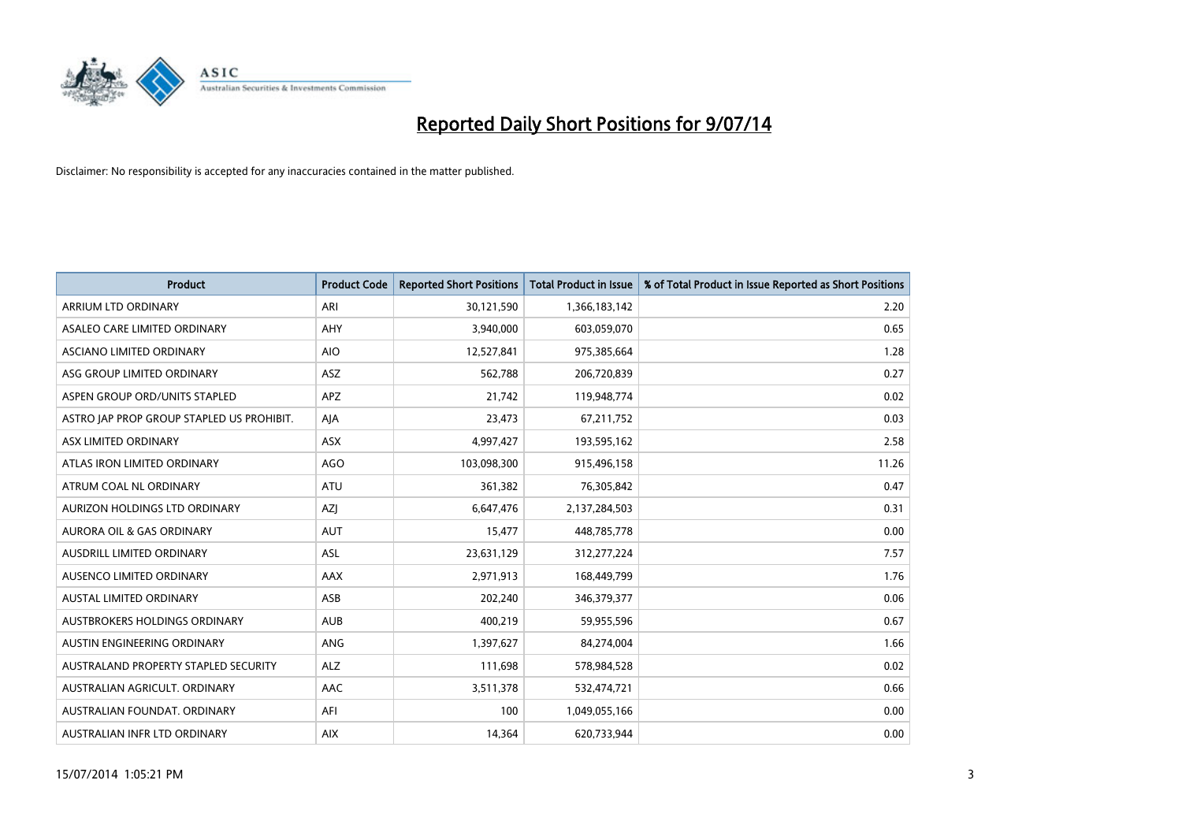

| <b>Product</b>                            | <b>Product Code</b> | <b>Reported Short Positions</b> | <b>Total Product in Issue</b> | % of Total Product in Issue Reported as Short Positions |
|-------------------------------------------|---------------------|---------------------------------|-------------------------------|---------------------------------------------------------|
| ARRIUM LTD ORDINARY                       | ARI                 | 30,121,590                      | 1,366,183,142                 | 2.20                                                    |
| ASALEO CARE LIMITED ORDINARY              | <b>AHY</b>          | 3,940,000                       | 603,059,070                   | 0.65                                                    |
| ASCIANO LIMITED ORDINARY                  | <b>AIO</b>          | 12,527,841                      | 975,385,664                   | 1.28                                                    |
| ASG GROUP LIMITED ORDINARY                | <b>ASZ</b>          | 562,788                         | 206,720,839                   | 0.27                                                    |
| ASPEN GROUP ORD/UNITS STAPLED             | <b>APZ</b>          | 21,742                          | 119,948,774                   | 0.02                                                    |
| ASTRO JAP PROP GROUP STAPLED US PROHIBIT. | AJA                 | 23,473                          | 67,211,752                    | 0.03                                                    |
| ASX LIMITED ORDINARY                      | ASX                 | 4,997,427                       | 193,595,162                   | 2.58                                                    |
| ATLAS IRON LIMITED ORDINARY               | <b>AGO</b>          | 103,098,300                     | 915,496,158                   | 11.26                                                   |
| ATRUM COAL NL ORDINARY                    | <b>ATU</b>          | 361,382                         | 76,305,842                    | 0.47                                                    |
| AURIZON HOLDINGS LTD ORDINARY             | AZJ                 | 6,647,476                       | 2,137,284,503                 | 0.31                                                    |
| AURORA OIL & GAS ORDINARY                 | AUT                 | 15,477                          | 448,785,778                   | 0.00                                                    |
| AUSDRILL LIMITED ORDINARY                 | ASL                 | 23,631,129                      | 312,277,224                   | 7.57                                                    |
| AUSENCO LIMITED ORDINARY                  | AAX                 | 2,971,913                       | 168,449,799                   | 1.76                                                    |
| <b>AUSTAL LIMITED ORDINARY</b>            | ASB                 | 202,240                         | 346, 379, 377                 | 0.06                                                    |
| AUSTBROKERS HOLDINGS ORDINARY             | <b>AUB</b>          | 400,219                         | 59,955,596                    | 0.67                                                    |
| AUSTIN ENGINEERING ORDINARY               | ANG                 | 1,397,627                       | 84,274,004                    | 1.66                                                    |
| AUSTRALAND PROPERTY STAPLED SECURITY      | <b>ALZ</b>          | 111,698                         | 578,984,528                   | 0.02                                                    |
| AUSTRALIAN AGRICULT, ORDINARY             | AAC                 | 3,511,378                       | 532,474,721                   | 0.66                                                    |
| AUSTRALIAN FOUNDAT, ORDINARY              | AFI                 | 100                             | 1,049,055,166                 | 0.00                                                    |
| AUSTRALIAN INFR LTD ORDINARY              | <b>AIX</b>          | 14,364                          | 620,733,944                   | 0.00                                                    |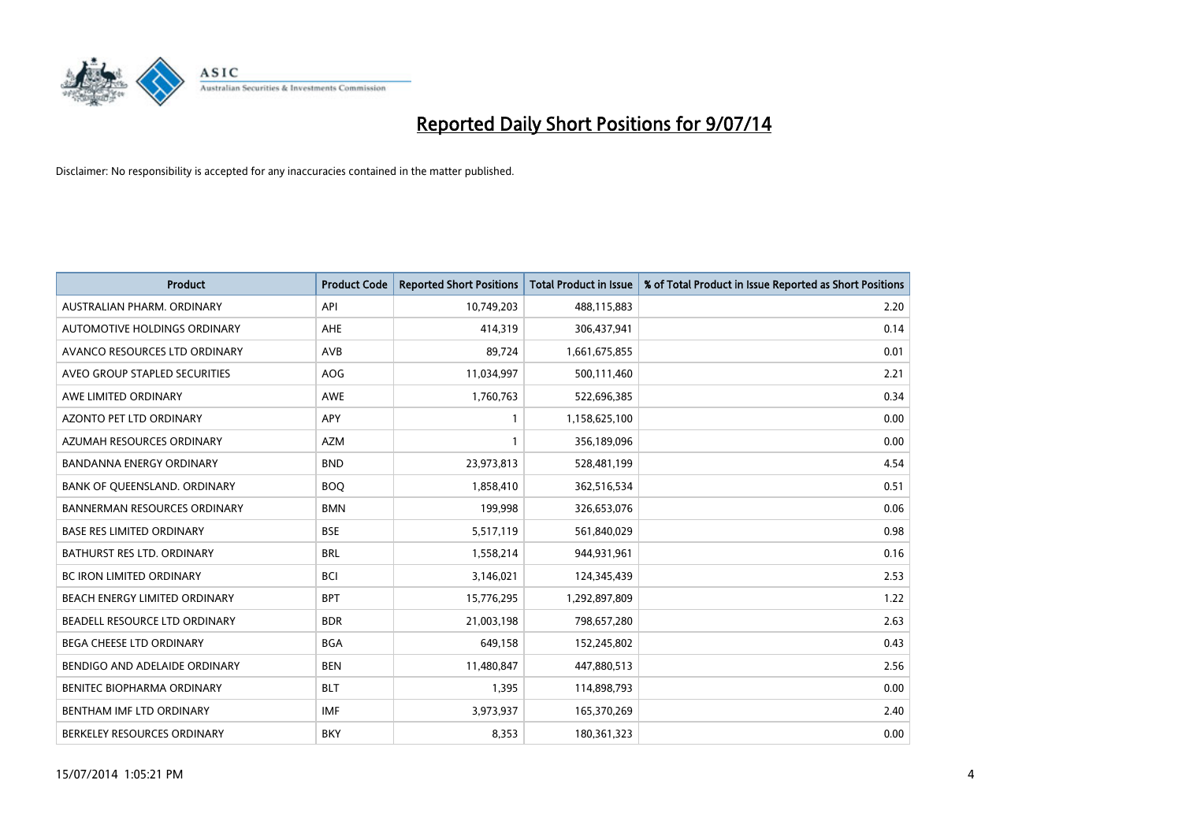

| <b>Product</b>                      | <b>Product Code</b> | <b>Reported Short Positions</b> | <b>Total Product in Issue</b> | % of Total Product in Issue Reported as Short Positions |
|-------------------------------------|---------------------|---------------------------------|-------------------------------|---------------------------------------------------------|
| AUSTRALIAN PHARM, ORDINARY          | API                 | 10,749,203                      | 488,115,883                   | 2.20                                                    |
| AUTOMOTIVE HOLDINGS ORDINARY        | AHE                 | 414,319                         | 306,437,941                   | 0.14                                                    |
| AVANCO RESOURCES LTD ORDINARY       | AVB                 | 89,724                          | 1,661,675,855                 | 0.01                                                    |
| AVEO GROUP STAPLED SECURITIES       | AOG                 | 11,034,997                      | 500,111,460                   | 2.21                                                    |
| AWE LIMITED ORDINARY                | AWE                 | 1,760,763                       | 522,696,385                   | 0.34                                                    |
| <b>AZONTO PET LTD ORDINARY</b>      | APY                 | $\mathbf{1}$                    | 1,158,625,100                 | 0.00                                                    |
| AZUMAH RESOURCES ORDINARY           | <b>AZM</b>          | $\mathbf{1}$                    | 356,189,096                   | 0.00                                                    |
| BANDANNA ENERGY ORDINARY            | <b>BND</b>          | 23,973,813                      | 528,481,199                   | 4.54                                                    |
| BANK OF QUEENSLAND. ORDINARY        | <b>BOQ</b>          | 1,858,410                       | 362,516,534                   | 0.51                                                    |
| <b>BANNERMAN RESOURCES ORDINARY</b> | <b>BMN</b>          | 199,998                         | 326,653,076                   | 0.06                                                    |
| <b>BASE RES LIMITED ORDINARY</b>    | <b>BSE</b>          | 5,517,119                       | 561,840,029                   | 0.98                                                    |
| BATHURST RES LTD. ORDINARY          | <b>BRL</b>          | 1,558,214                       | 944,931,961                   | 0.16                                                    |
| BC IRON LIMITED ORDINARY            | <b>BCI</b>          | 3,146,021                       | 124,345,439                   | 2.53                                                    |
| BEACH ENERGY LIMITED ORDINARY       | <b>BPT</b>          | 15,776,295                      | 1,292,897,809                 | 1.22                                                    |
| BEADELL RESOURCE LTD ORDINARY       | <b>BDR</b>          | 21,003,198                      | 798,657,280                   | 2.63                                                    |
| BEGA CHEESE LTD ORDINARY            | <b>BGA</b>          | 649,158                         | 152,245,802                   | 0.43                                                    |
| BENDIGO AND ADELAIDE ORDINARY       | <b>BEN</b>          | 11,480,847                      | 447,880,513                   | 2.56                                                    |
| BENITEC BIOPHARMA ORDINARY          | <b>BLT</b>          | 1,395                           | 114,898,793                   | 0.00                                                    |
| BENTHAM IMF LTD ORDINARY            | <b>IMF</b>          | 3,973,937                       | 165,370,269                   | 2.40                                                    |
| BERKELEY RESOURCES ORDINARY         | <b>BKY</b>          | 8,353                           | 180,361,323                   | 0.00                                                    |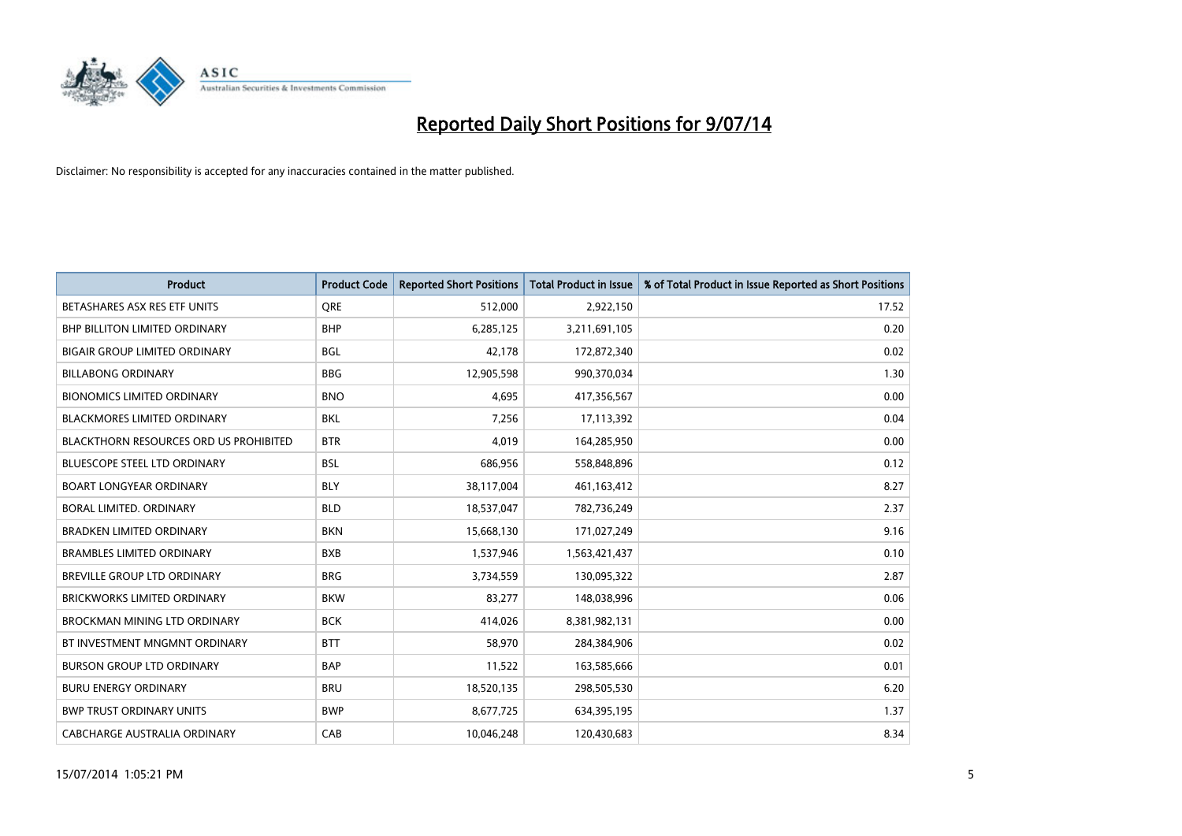

| <b>Product</b>                                | <b>Product Code</b> | <b>Reported Short Positions</b> | <b>Total Product in Issue</b> | % of Total Product in Issue Reported as Short Positions |
|-----------------------------------------------|---------------------|---------------------------------|-------------------------------|---------------------------------------------------------|
| BETASHARES ASX RES ETF UNITS                  | <b>ORE</b>          | 512,000                         | 2,922,150                     | 17.52                                                   |
| BHP BILLITON LIMITED ORDINARY                 | <b>BHP</b>          | 6,285,125                       | 3,211,691,105                 | 0.20                                                    |
| <b>BIGAIR GROUP LIMITED ORDINARY</b>          | <b>BGL</b>          | 42,178                          | 172,872,340                   | 0.02                                                    |
| <b>BILLABONG ORDINARY</b>                     | <b>BBG</b>          | 12,905,598                      | 990,370,034                   | 1.30                                                    |
| <b>BIONOMICS LIMITED ORDINARY</b>             | <b>BNO</b>          | 4,695                           | 417,356,567                   | 0.00                                                    |
| <b>BLACKMORES LIMITED ORDINARY</b>            | <b>BKL</b>          | 7,256                           | 17,113,392                    | 0.04                                                    |
| <b>BLACKTHORN RESOURCES ORD US PROHIBITED</b> | <b>BTR</b>          | 4,019                           | 164,285,950                   | 0.00                                                    |
| <b>BLUESCOPE STEEL LTD ORDINARY</b>           | <b>BSL</b>          | 686,956                         | 558,848,896                   | 0.12                                                    |
| <b>BOART LONGYEAR ORDINARY</b>                | <b>BLY</b>          | 38,117,004                      | 461,163,412                   | 8.27                                                    |
| <b>BORAL LIMITED, ORDINARY</b>                | <b>BLD</b>          | 18,537,047                      | 782,736,249                   | 2.37                                                    |
| <b>BRADKEN LIMITED ORDINARY</b>               | <b>BKN</b>          | 15,668,130                      | 171,027,249                   | 9.16                                                    |
| <b>BRAMBLES LIMITED ORDINARY</b>              | <b>BXB</b>          | 1,537,946                       | 1,563,421,437                 | 0.10                                                    |
| BREVILLE GROUP LTD ORDINARY                   | <b>BRG</b>          | 3,734,559                       | 130,095,322                   | 2.87                                                    |
| <b>BRICKWORKS LIMITED ORDINARY</b>            | <b>BKW</b>          | 83,277                          | 148,038,996                   | 0.06                                                    |
| <b>BROCKMAN MINING LTD ORDINARY</b>           | <b>BCK</b>          | 414,026                         | 8,381,982,131                 | 0.00                                                    |
| BT INVESTMENT MNGMNT ORDINARY                 | <b>BTT</b>          | 58,970                          | 284,384,906                   | 0.02                                                    |
| <b>BURSON GROUP LTD ORDINARY</b>              | <b>BAP</b>          | 11,522                          | 163,585,666                   | 0.01                                                    |
| <b>BURU ENERGY ORDINARY</b>                   | <b>BRU</b>          | 18,520,135                      | 298,505,530                   | 6.20                                                    |
| <b>BWP TRUST ORDINARY UNITS</b>               | <b>BWP</b>          | 8,677,725                       | 634,395,195                   | 1.37                                                    |
| CABCHARGE AUSTRALIA ORDINARY                  | CAB                 | 10,046,248                      | 120,430,683                   | 8.34                                                    |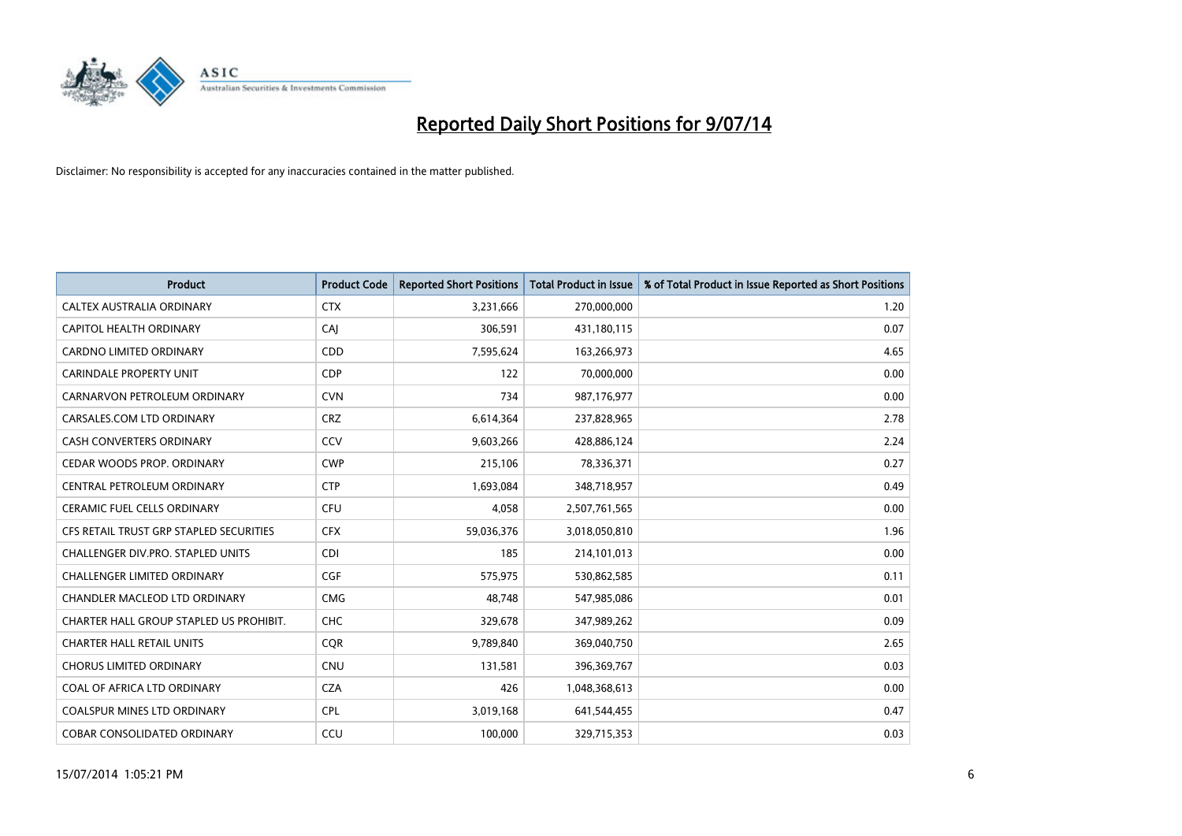

| <b>Product</b>                          | <b>Product Code</b> | <b>Reported Short Positions</b> | <b>Total Product in Issue</b> | % of Total Product in Issue Reported as Short Positions |
|-----------------------------------------|---------------------|---------------------------------|-------------------------------|---------------------------------------------------------|
| CALTEX AUSTRALIA ORDINARY               | <b>CTX</b>          | 3,231,666                       | 270,000,000                   | 1.20                                                    |
| <b>CAPITOL HEALTH ORDINARY</b>          | CAJ                 | 306,591                         | 431,180,115                   | 0.07                                                    |
| <b>CARDNO LIMITED ORDINARY</b>          | CDD                 | 7,595,624                       | 163,266,973                   | 4.65                                                    |
| <b>CARINDALE PROPERTY UNIT</b>          | <b>CDP</b>          | 122                             | 70,000,000                    | 0.00                                                    |
| CARNARVON PETROLEUM ORDINARY            | <b>CVN</b>          | 734                             | 987,176,977                   | 0.00                                                    |
| CARSALES.COM LTD ORDINARY               | <b>CRZ</b>          | 6,614,364                       | 237,828,965                   | 2.78                                                    |
| <b>CASH CONVERTERS ORDINARY</b>         | CCV                 | 9,603,266                       | 428,886,124                   | 2.24                                                    |
| CEDAR WOODS PROP. ORDINARY              | <b>CWP</b>          | 215,106                         | 78,336,371                    | 0.27                                                    |
| CENTRAL PETROLEUM ORDINARY              | <b>CTP</b>          | 1,693,084                       | 348,718,957                   | 0.49                                                    |
| <b>CERAMIC FUEL CELLS ORDINARY</b>      | <b>CFU</b>          | 4,058                           | 2,507,761,565                 | 0.00                                                    |
| CFS RETAIL TRUST GRP STAPLED SECURITIES | <b>CFX</b>          | 59,036,376                      | 3,018,050,810                 | 1.96                                                    |
| CHALLENGER DIV.PRO. STAPLED UNITS       | <b>CDI</b>          | 185                             | 214,101,013                   | 0.00                                                    |
| <b>CHALLENGER LIMITED ORDINARY</b>      | <b>CGF</b>          | 575,975                         | 530,862,585                   | 0.11                                                    |
| CHANDLER MACLEOD LTD ORDINARY           | <b>CMG</b>          | 48,748                          | 547,985,086                   | 0.01                                                    |
| CHARTER HALL GROUP STAPLED US PROHIBIT. | CHC                 | 329,678                         | 347,989,262                   | 0.09                                                    |
| <b>CHARTER HALL RETAIL UNITS</b>        | <b>COR</b>          | 9,789,840                       | 369,040,750                   | 2.65                                                    |
| <b>CHORUS LIMITED ORDINARY</b>          | <b>CNU</b>          | 131,581                         | 396,369,767                   | 0.03                                                    |
| COAL OF AFRICA LTD ORDINARY             | <b>CZA</b>          | 426                             | 1,048,368,613                 | 0.00                                                    |
| <b>COALSPUR MINES LTD ORDINARY</b>      | <b>CPL</b>          | 3,019,168                       | 641,544,455                   | 0.47                                                    |
| <b>COBAR CONSOLIDATED ORDINARY</b>      | CCU                 | 100,000                         | 329,715,353                   | 0.03                                                    |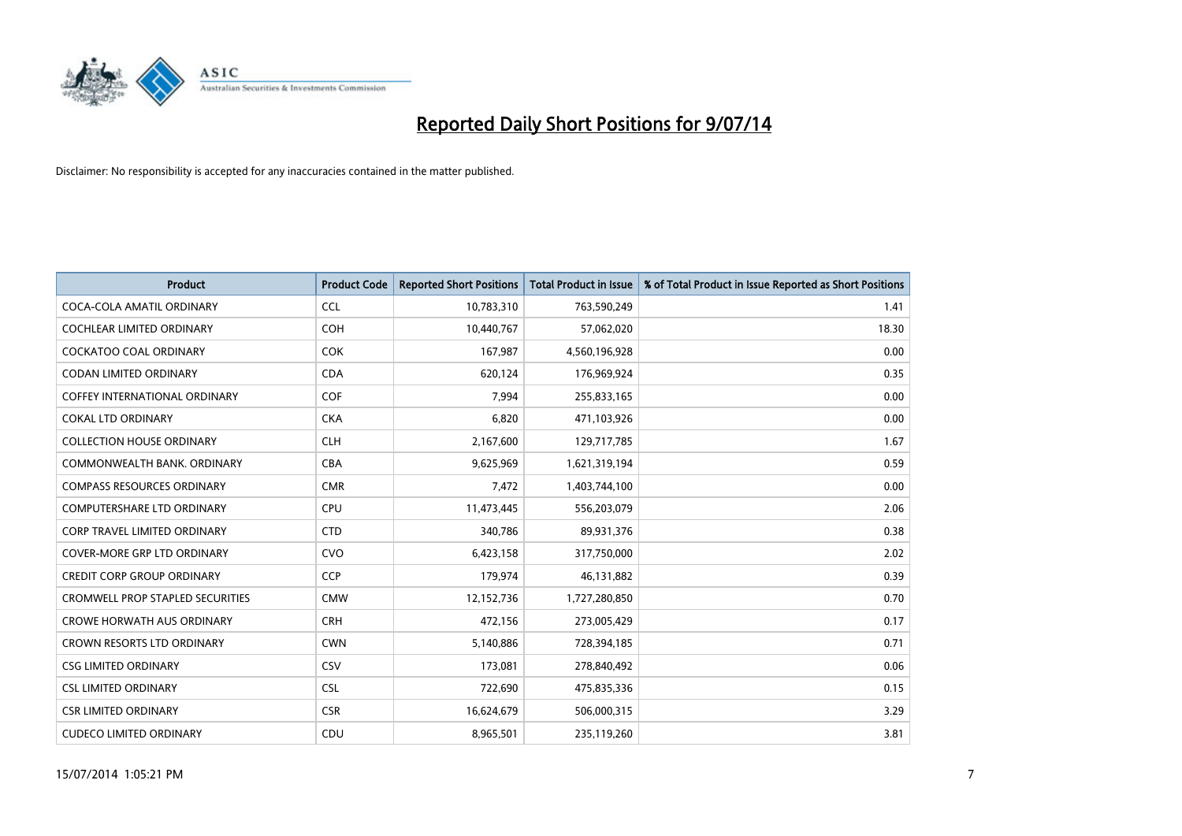

| <b>Product</b>                          | <b>Product Code</b> | <b>Reported Short Positions</b> | <b>Total Product in Issue</b> | % of Total Product in Issue Reported as Short Positions |
|-----------------------------------------|---------------------|---------------------------------|-------------------------------|---------------------------------------------------------|
| COCA-COLA AMATIL ORDINARY               | <b>CCL</b>          | 10,783,310                      | 763,590,249                   | 1.41                                                    |
| <b>COCHLEAR LIMITED ORDINARY</b>        | <b>COH</b>          | 10,440,767                      | 57,062,020                    | 18.30                                                   |
| <b>COCKATOO COAL ORDINARY</b>           | <b>COK</b>          | 167,987                         | 4,560,196,928                 | 0.00                                                    |
| CODAN LIMITED ORDINARY                  | <b>CDA</b>          | 620,124                         | 176,969,924                   | 0.35                                                    |
| <b>COFFEY INTERNATIONAL ORDINARY</b>    | COF                 | 7,994                           | 255,833,165                   | 0.00                                                    |
| <b>COKAL LTD ORDINARY</b>               | <b>CKA</b>          | 6,820                           | 471,103,926                   | 0.00                                                    |
| <b>COLLECTION HOUSE ORDINARY</b>        | <b>CLH</b>          | 2,167,600                       | 129,717,785                   | 1.67                                                    |
| COMMONWEALTH BANK, ORDINARY             | <b>CBA</b>          | 9,625,969                       | 1,621,319,194                 | 0.59                                                    |
| <b>COMPASS RESOURCES ORDINARY</b>       | <b>CMR</b>          | 7,472                           | 1,403,744,100                 | 0.00                                                    |
| <b>COMPUTERSHARE LTD ORDINARY</b>       | <b>CPU</b>          | 11,473,445                      | 556,203,079                   | 2.06                                                    |
| CORP TRAVEL LIMITED ORDINARY            | <b>CTD</b>          | 340,786                         | 89,931,376                    | 0.38                                                    |
| <b>COVER-MORE GRP LTD ORDINARY</b>      | <b>CVO</b>          | 6,423,158                       | 317,750,000                   | 2.02                                                    |
| <b>CREDIT CORP GROUP ORDINARY</b>       | <b>CCP</b>          | 179,974                         | 46,131,882                    | 0.39                                                    |
| <b>CROMWELL PROP STAPLED SECURITIES</b> | <b>CMW</b>          | 12,152,736                      | 1,727,280,850                 | 0.70                                                    |
| CROWE HORWATH AUS ORDINARY              | <b>CRH</b>          | 472,156                         | 273,005,429                   | 0.17                                                    |
| <b>CROWN RESORTS LTD ORDINARY</b>       | <b>CWN</b>          | 5,140,886                       | 728,394,185                   | 0.71                                                    |
| <b>CSG LIMITED ORDINARY</b>             | CSV                 | 173,081                         | 278,840,492                   | 0.06                                                    |
| <b>CSL LIMITED ORDINARY</b>             | <b>CSL</b>          | 722,690                         | 475,835,336                   | 0.15                                                    |
| <b>CSR LIMITED ORDINARY</b>             | <b>CSR</b>          | 16,624,679                      | 506,000,315                   | 3.29                                                    |
| <b>CUDECO LIMITED ORDINARY</b>          | CDU                 | 8,965,501                       | 235,119,260                   | 3.81                                                    |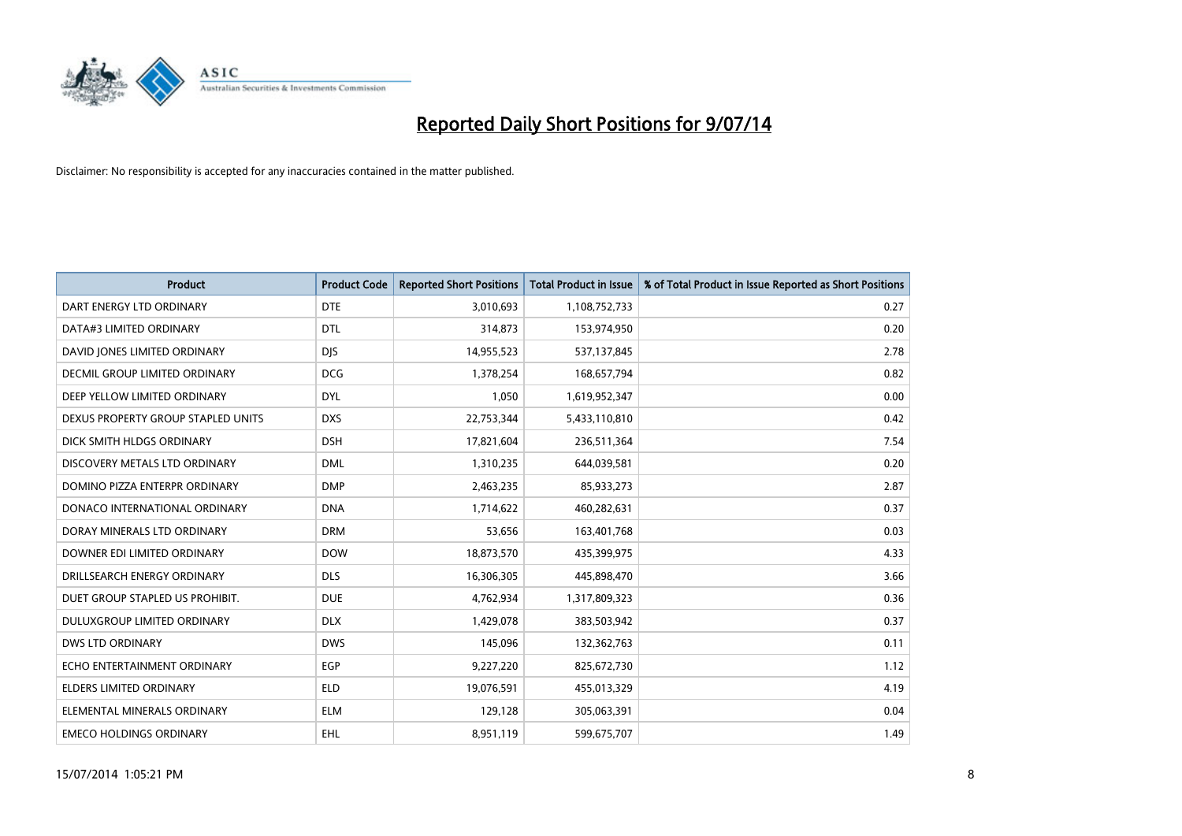

| <b>Product</b>                       | <b>Product Code</b> | <b>Reported Short Positions</b> | <b>Total Product in Issue</b> | % of Total Product in Issue Reported as Short Positions |
|--------------------------------------|---------------------|---------------------------------|-------------------------------|---------------------------------------------------------|
| DART ENERGY LTD ORDINARY             | <b>DTE</b>          | 3,010,693                       | 1,108,752,733                 | 0.27                                                    |
| DATA#3 LIMITED ORDINARY              | <b>DTL</b>          | 314,873                         | 153,974,950                   | 0.20                                                    |
| DAVID JONES LIMITED ORDINARY         | <b>DJS</b>          | 14,955,523                      | 537,137,845                   | 2.78                                                    |
| <b>DECMIL GROUP LIMITED ORDINARY</b> | <b>DCG</b>          | 1,378,254                       | 168,657,794                   | 0.82                                                    |
| DEEP YELLOW LIMITED ORDINARY         | <b>DYL</b>          | 1,050                           | 1,619,952,347                 | 0.00                                                    |
| DEXUS PROPERTY GROUP STAPLED UNITS   | <b>DXS</b>          | 22,753,344                      | 5,433,110,810                 | 0.42                                                    |
| DICK SMITH HLDGS ORDINARY            | <b>DSH</b>          | 17,821,604                      | 236,511,364                   | 7.54                                                    |
| DISCOVERY METALS LTD ORDINARY        | <b>DML</b>          | 1,310,235                       | 644,039,581                   | 0.20                                                    |
| DOMINO PIZZA ENTERPR ORDINARY        | <b>DMP</b>          | 2,463,235                       | 85,933,273                    | 2.87                                                    |
| DONACO INTERNATIONAL ORDINARY        | <b>DNA</b>          | 1,714,622                       | 460,282,631                   | 0.37                                                    |
| DORAY MINERALS LTD ORDINARY          | <b>DRM</b>          | 53,656                          | 163,401,768                   | 0.03                                                    |
| DOWNER EDI LIMITED ORDINARY          | <b>DOW</b>          | 18,873,570                      | 435,399,975                   | 4.33                                                    |
| DRILLSEARCH ENERGY ORDINARY          | <b>DLS</b>          | 16,306,305                      | 445,898,470                   | 3.66                                                    |
| DUET GROUP STAPLED US PROHIBIT.      | <b>DUE</b>          | 4,762,934                       | 1,317,809,323                 | 0.36                                                    |
| DULUXGROUP LIMITED ORDINARY          | <b>DLX</b>          | 1,429,078                       | 383,503,942                   | 0.37                                                    |
| <b>DWS LTD ORDINARY</b>              | <b>DWS</b>          | 145,096                         | 132,362,763                   | 0.11                                                    |
| ECHO ENTERTAINMENT ORDINARY          | EGP                 | 9,227,220                       | 825,672,730                   | 1.12                                                    |
| ELDERS LIMITED ORDINARY              | <b>ELD</b>          | 19,076,591                      | 455,013,329                   | 4.19                                                    |
| ELEMENTAL MINERALS ORDINARY          | <b>ELM</b>          | 129,128                         | 305,063,391                   | 0.04                                                    |
| <b>EMECO HOLDINGS ORDINARY</b>       | EHL                 | 8,951,119                       | 599,675,707                   | 1.49                                                    |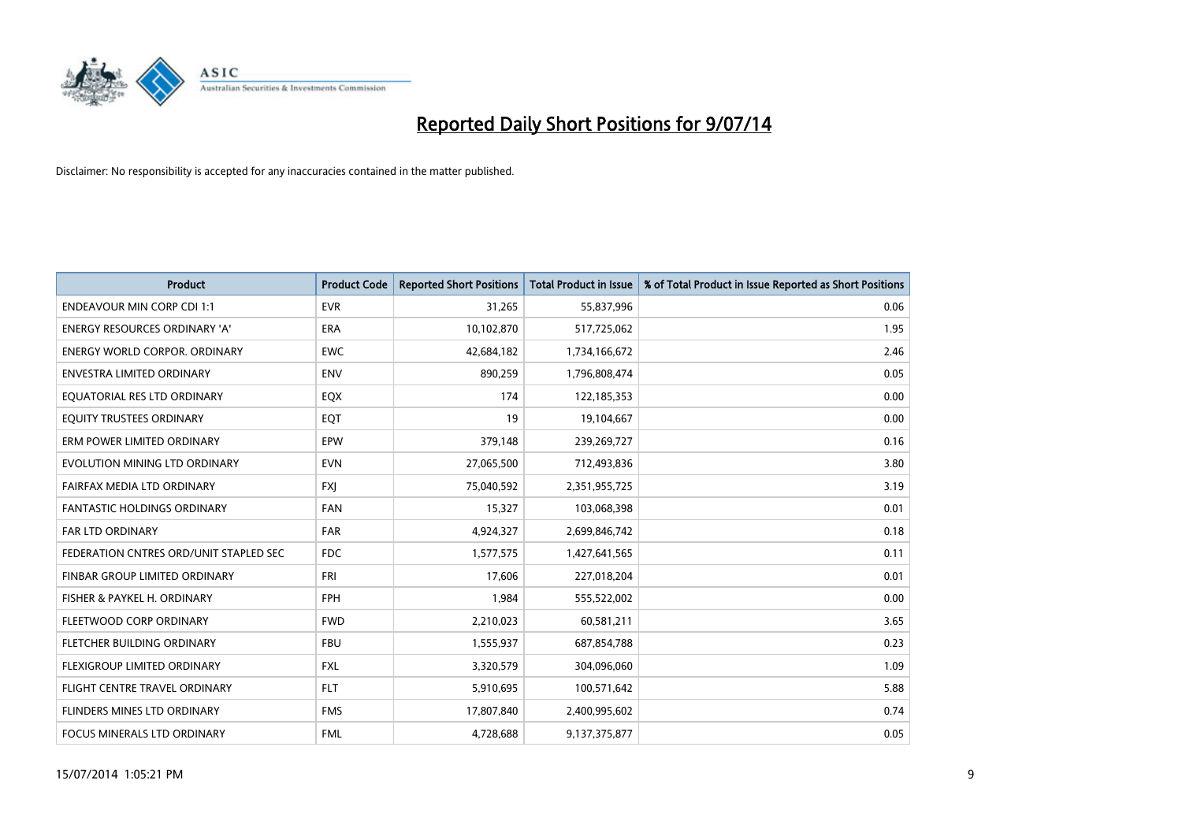

| <b>Product</b>                         | <b>Product Code</b> | <b>Reported Short Positions</b> | <b>Total Product in Issue</b> | % of Total Product in Issue Reported as Short Positions |
|----------------------------------------|---------------------|---------------------------------|-------------------------------|---------------------------------------------------------|
| <b>ENDEAVOUR MIN CORP CDI 1:1</b>      | <b>EVR</b>          | 31,265                          | 55,837,996                    | 0.06                                                    |
| ENERGY RESOURCES ORDINARY 'A'          | ERA                 | 10,102,870                      | 517,725,062                   | 1.95                                                    |
| <b>ENERGY WORLD CORPOR, ORDINARY</b>   | <b>EWC</b>          | 42,684,182                      | 1,734,166,672                 | 2.46                                                    |
| ENVESTRA LIMITED ORDINARY              | <b>ENV</b>          | 890,259                         | 1,796,808,474                 | 0.05                                                    |
| EQUATORIAL RES LTD ORDINARY            | EQX                 | 174                             | 122,185,353                   | 0.00                                                    |
| EQUITY TRUSTEES ORDINARY               | EQT                 | 19                              | 19,104,667                    | 0.00                                                    |
| ERM POWER LIMITED ORDINARY             | EPW                 | 379,148                         | 239,269,727                   | 0.16                                                    |
| EVOLUTION MINING LTD ORDINARY          | <b>EVN</b>          | 27,065,500                      | 712,493,836                   | 3.80                                                    |
| FAIRFAX MEDIA LTD ORDINARY             | <b>FXJ</b>          | 75,040,592                      | 2,351,955,725                 | 3.19                                                    |
| <b>FANTASTIC HOLDINGS ORDINARY</b>     | <b>FAN</b>          | 15,327                          | 103,068,398                   | 0.01                                                    |
| FAR LTD ORDINARY                       | <b>FAR</b>          | 4,924,327                       | 2,699,846,742                 | 0.18                                                    |
| FEDERATION CNTRES ORD/UNIT STAPLED SEC | FDC                 | 1,577,575                       | 1,427,641,565                 | 0.11                                                    |
| FINBAR GROUP LIMITED ORDINARY          | <b>FRI</b>          | 17,606                          | 227,018,204                   | 0.01                                                    |
| FISHER & PAYKEL H. ORDINARY            | <b>FPH</b>          | 1,984                           | 555,522,002                   | 0.00                                                    |
| FLEETWOOD CORP ORDINARY                | <b>FWD</b>          | 2,210,023                       | 60,581,211                    | 3.65                                                    |
| FLETCHER BUILDING ORDINARY             | <b>FBU</b>          | 1,555,937                       | 687,854,788                   | 0.23                                                    |
| FLEXIGROUP LIMITED ORDINARY            | FXL                 | 3,320,579                       | 304,096,060                   | 1.09                                                    |
| FLIGHT CENTRE TRAVEL ORDINARY          | <b>FLT</b>          | 5,910,695                       | 100,571,642                   | 5.88                                                    |
| FLINDERS MINES LTD ORDINARY            | <b>FMS</b>          | 17,807,840                      | 2,400,995,602                 | 0.74                                                    |
| FOCUS MINERALS LTD ORDINARY            | <b>FML</b>          | 4,728,688                       | 9,137,375,877                 | 0.05                                                    |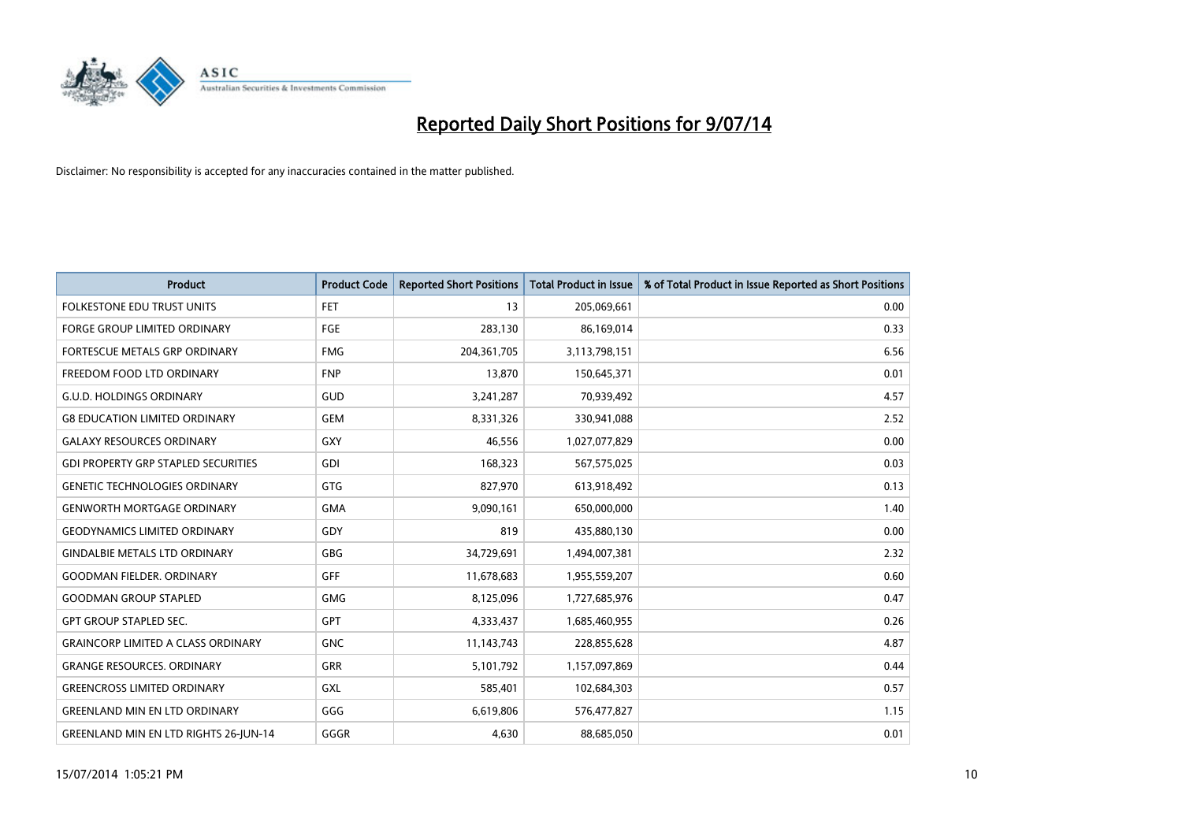

| <b>Product</b>                               | <b>Product Code</b> | <b>Reported Short Positions</b> | <b>Total Product in Issue</b> | % of Total Product in Issue Reported as Short Positions |
|----------------------------------------------|---------------------|---------------------------------|-------------------------------|---------------------------------------------------------|
| <b>FOLKESTONE EDU TRUST UNITS</b>            | <b>FET</b>          | 13                              | 205,069,661                   | 0.00                                                    |
| FORGE GROUP LIMITED ORDINARY                 | <b>FGE</b>          | 283,130                         | 86,169,014                    | 0.33                                                    |
| <b>FORTESCUE METALS GRP ORDINARY</b>         | <b>FMG</b>          | 204, 361, 705                   | 3,113,798,151                 | 6.56                                                    |
| FREEDOM FOOD LTD ORDINARY                    | <b>FNP</b>          | 13,870                          | 150,645,371                   | 0.01                                                    |
| <b>G.U.D. HOLDINGS ORDINARY</b>              | GUD                 | 3,241,287                       | 70,939,492                    | 4.57                                                    |
| <b>G8 EDUCATION LIMITED ORDINARY</b>         | <b>GEM</b>          | 8,331,326                       | 330,941,088                   | 2.52                                                    |
| <b>GALAXY RESOURCES ORDINARY</b>             | <b>GXY</b>          | 46,556                          | 1,027,077,829                 | 0.00                                                    |
| <b>GDI PROPERTY GRP STAPLED SECURITIES</b>   | GDI                 | 168,323                         | 567,575,025                   | 0.03                                                    |
| <b>GENETIC TECHNOLOGIES ORDINARY</b>         | <b>GTG</b>          | 827,970                         | 613,918,492                   | 0.13                                                    |
| <b>GENWORTH MORTGAGE ORDINARY</b>            | <b>GMA</b>          | 9,090,161                       | 650,000,000                   | 1.40                                                    |
| <b>GEODYNAMICS LIMITED ORDINARY</b>          | GDY                 | 819                             | 435,880,130                   | 0.00                                                    |
| <b>GINDALBIE METALS LTD ORDINARY</b>         | GBG                 | 34,729,691                      | 1,494,007,381                 | 2.32                                                    |
| <b>GOODMAN FIELDER. ORDINARY</b>             | GFF                 | 11,678,683                      | 1,955,559,207                 | 0.60                                                    |
| <b>GOODMAN GROUP STAPLED</b>                 | <b>GMG</b>          | 8,125,096                       | 1,727,685,976                 | 0.47                                                    |
| <b>GPT GROUP STAPLED SEC.</b>                | <b>GPT</b>          | 4,333,437                       | 1,685,460,955                 | 0.26                                                    |
| <b>GRAINCORP LIMITED A CLASS ORDINARY</b>    | <b>GNC</b>          | 11,143,743                      | 228,855,628                   | 4.87                                                    |
| <b>GRANGE RESOURCES. ORDINARY</b>            | GRR                 | 5,101,792                       | 1,157,097,869                 | 0.44                                                    |
| <b>GREENCROSS LIMITED ORDINARY</b>           | <b>GXL</b>          | 585,401                         | 102,684,303                   | 0.57                                                    |
| <b>GREENLAND MIN EN LTD ORDINARY</b>         | GGG                 | 6,619,806                       | 576,477,827                   | 1.15                                                    |
| <b>GREENLAND MIN EN LTD RIGHTS 26-JUN-14</b> | GGGR                | 4,630                           | 88,685,050                    | 0.01                                                    |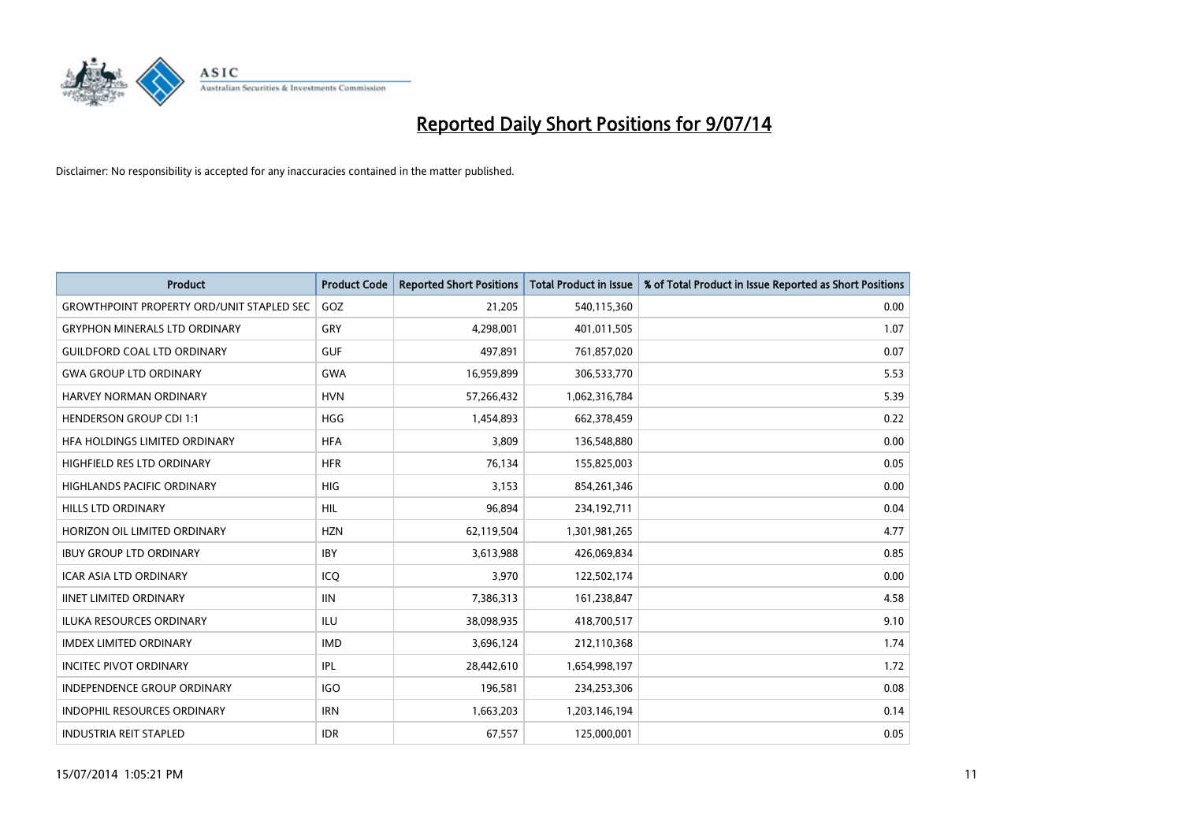

| <b>Product</b>                                   | <b>Product Code</b> | <b>Reported Short Positions</b> | <b>Total Product in Issue</b> | % of Total Product in Issue Reported as Short Positions |
|--------------------------------------------------|---------------------|---------------------------------|-------------------------------|---------------------------------------------------------|
| <b>GROWTHPOINT PROPERTY ORD/UNIT STAPLED SEC</b> | GOZ                 | 21,205                          | 540,115,360                   | 0.00                                                    |
| <b>GRYPHON MINERALS LTD ORDINARY</b>             | GRY                 | 4,298,001                       | 401,011,505                   | 1.07                                                    |
| <b>GUILDFORD COAL LTD ORDINARY</b>               | <b>GUF</b>          | 497,891                         | 761,857,020                   | 0.07                                                    |
| <b>GWA GROUP LTD ORDINARY</b>                    | <b>GWA</b>          | 16,959,899                      | 306,533,770                   | 5.53                                                    |
| HARVEY NORMAN ORDINARY                           | <b>HVN</b>          | 57,266,432                      | 1,062,316,784                 | 5.39                                                    |
| <b>HENDERSON GROUP CDI 1:1</b>                   | <b>HGG</b>          | 1,454,893                       | 662,378,459                   | 0.22                                                    |
| HFA HOLDINGS LIMITED ORDINARY                    | <b>HFA</b>          | 3,809                           | 136,548,880                   | 0.00                                                    |
| <b>HIGHFIELD RES LTD ORDINARY</b>                | <b>HFR</b>          | 76,134                          | 155,825,003                   | 0.05                                                    |
| HIGHLANDS PACIFIC ORDINARY                       | HIG                 | 3,153                           | 854,261,346                   | 0.00                                                    |
| <b>HILLS LTD ORDINARY</b>                        | <b>HIL</b>          | 96,894                          | 234,192,711                   | 0.04                                                    |
| HORIZON OIL LIMITED ORDINARY                     | <b>HZN</b>          | 62,119,504                      | 1,301,981,265                 | 4.77                                                    |
| <b>IBUY GROUP LTD ORDINARY</b>                   | <b>IBY</b>          | 3,613,988                       | 426,069,834                   | 0.85                                                    |
| <b>ICAR ASIA LTD ORDINARY</b>                    | ICQ                 | 3,970                           | 122,502,174                   | 0.00                                                    |
| <b>IINET LIMITED ORDINARY</b>                    | <b>IIN</b>          | 7,386,313                       | 161,238,847                   | 4.58                                                    |
| <b>ILUKA RESOURCES ORDINARY</b>                  | ILU                 | 38,098,935                      | 418,700,517                   | 9.10                                                    |
| <b>IMDEX LIMITED ORDINARY</b>                    | <b>IMD</b>          | 3,696,124                       | 212,110,368                   | 1.74                                                    |
| <b>INCITEC PIVOT ORDINARY</b>                    | <b>IPL</b>          | 28,442,610                      | 1,654,998,197                 | 1.72                                                    |
| INDEPENDENCE GROUP ORDINARY                      | <b>IGO</b>          | 196,581                         | 234,253,306                   | 0.08                                                    |
| <b>INDOPHIL RESOURCES ORDINARY</b>               | <b>IRN</b>          | 1,663,203                       | 1,203,146,194                 | 0.14                                                    |
| <b>INDUSTRIA REIT STAPLED</b>                    | <b>IDR</b>          | 67,557                          | 125,000,001                   | 0.05                                                    |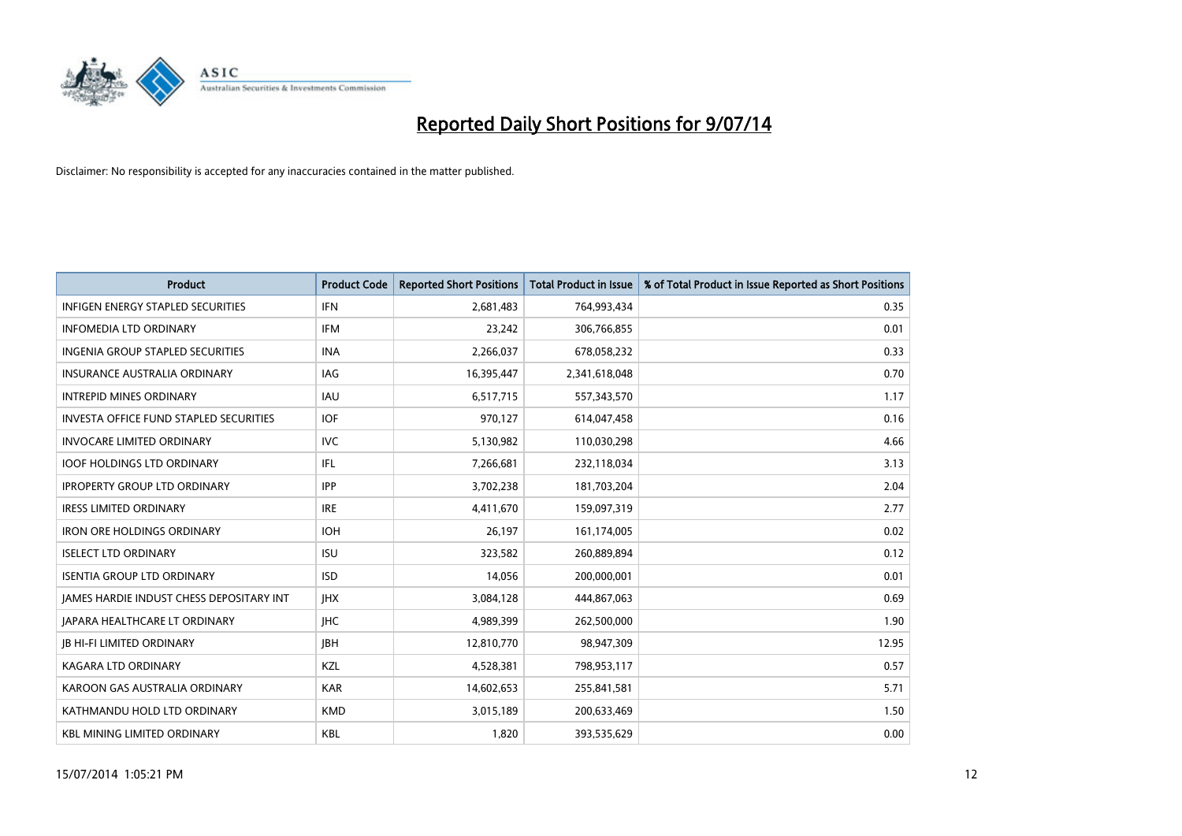

| <b>Product</b>                                  | <b>Product Code</b> | <b>Reported Short Positions</b> | <b>Total Product in Issue</b> | % of Total Product in Issue Reported as Short Positions |
|-------------------------------------------------|---------------------|---------------------------------|-------------------------------|---------------------------------------------------------|
| <b>INFIGEN ENERGY STAPLED SECURITIES</b>        | <b>IFN</b>          | 2,681,483                       | 764,993,434                   | 0.35                                                    |
| <b>INFOMEDIA LTD ORDINARY</b>                   | <b>IFM</b>          | 23,242                          | 306,766,855                   | 0.01                                                    |
| <b>INGENIA GROUP STAPLED SECURITIES</b>         | <b>INA</b>          | 2,266,037                       | 678,058,232                   | 0.33                                                    |
| <b>INSURANCE AUSTRALIA ORDINARY</b>             | IAG                 | 16,395,447                      | 2,341,618,048                 | 0.70                                                    |
| <b>INTREPID MINES ORDINARY</b>                  | <b>IAU</b>          | 6,517,715                       | 557,343,570                   | 1.17                                                    |
| <b>INVESTA OFFICE FUND STAPLED SECURITIES</b>   | <b>IOF</b>          | 970,127                         | 614,047,458                   | 0.16                                                    |
| <b>INVOCARE LIMITED ORDINARY</b>                | IVC.                | 5,130,982                       | 110,030,298                   | 4.66                                                    |
| <b>IOOF HOLDINGS LTD ORDINARY</b>               | IFL                 | 7,266,681                       | 232,118,034                   | 3.13                                                    |
| <b>IPROPERTY GROUP LTD ORDINARY</b>             | <b>IPP</b>          | 3,702,238                       | 181,703,204                   | 2.04                                                    |
| <b>IRESS LIMITED ORDINARY</b>                   | <b>IRE</b>          | 4,411,670                       | 159,097,319                   | 2.77                                                    |
| <b>IRON ORE HOLDINGS ORDINARY</b>               | <b>IOH</b>          | 26,197                          | 161,174,005                   | 0.02                                                    |
| <b>ISELECT LTD ORDINARY</b>                     | <b>ISU</b>          | 323,582                         | 260,889,894                   | 0.12                                                    |
| <b>ISENTIA GROUP LTD ORDINARY</b>               | <b>ISD</b>          | 14,056                          | 200,000,001                   | 0.01                                                    |
| <b>JAMES HARDIE INDUST CHESS DEPOSITARY INT</b> | <b>IHX</b>          | 3,084,128                       | 444,867,063                   | 0.69                                                    |
| <b>JAPARA HEALTHCARE LT ORDINARY</b>            | <b>IHC</b>          | 4,989,399                       | 262,500,000                   | 1.90                                                    |
| <b>JB HI-FI LIMITED ORDINARY</b>                | <b>JBH</b>          | 12,810,770                      | 98,947,309                    | 12.95                                                   |
| KAGARA LTD ORDINARY                             | KZL                 | 4,528,381                       | 798,953,117                   | 0.57                                                    |
| KAROON GAS AUSTRALIA ORDINARY                   | <b>KAR</b>          | 14,602,653                      | 255,841,581                   | 5.71                                                    |
| KATHMANDU HOLD LTD ORDINARY                     | <b>KMD</b>          | 3,015,189                       | 200,633,469                   | 1.50                                                    |
| <b>KBL MINING LIMITED ORDINARY</b>              | <b>KBL</b>          | 1,820                           | 393,535,629                   | 0.00                                                    |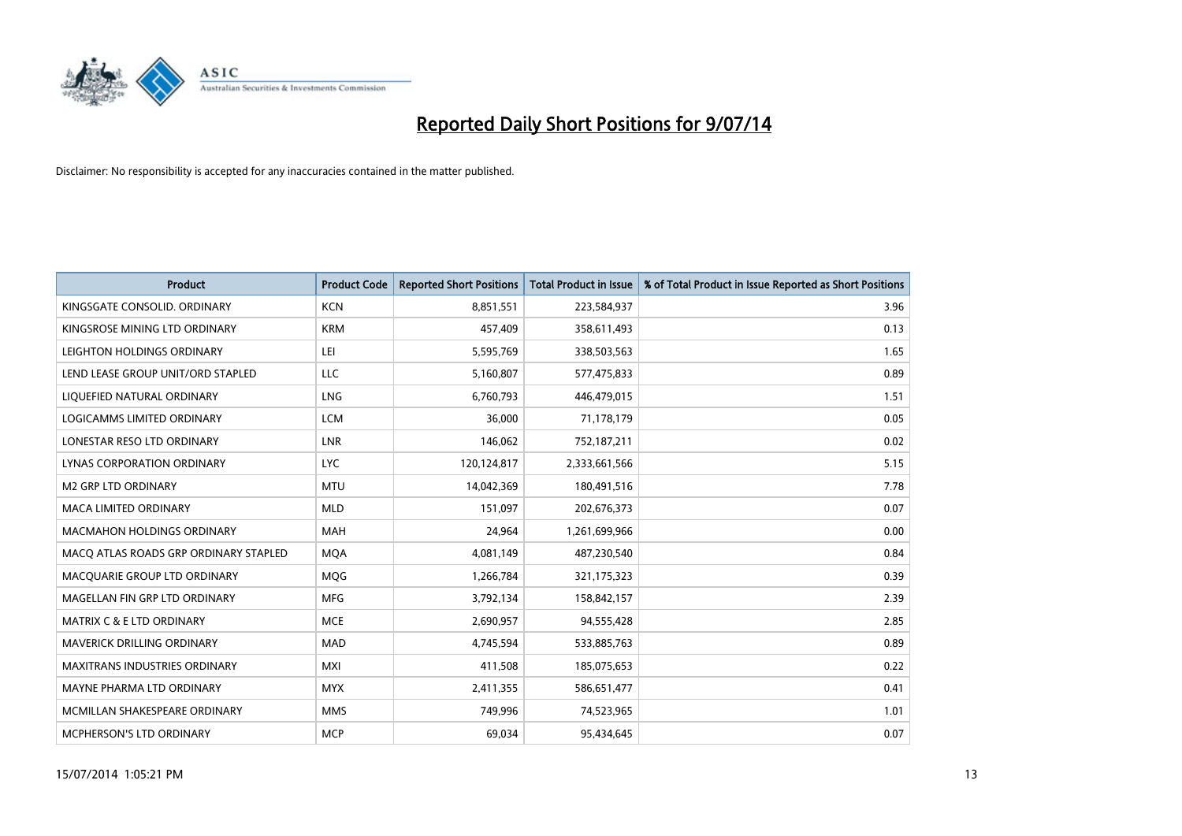

| <b>Product</b>                        | <b>Product Code</b> | <b>Reported Short Positions</b> | <b>Total Product in Issue</b> | % of Total Product in Issue Reported as Short Positions |
|---------------------------------------|---------------------|---------------------------------|-------------------------------|---------------------------------------------------------|
| KINGSGATE CONSOLID, ORDINARY          | <b>KCN</b>          | 8,851,551                       | 223,584,937                   | 3.96                                                    |
| KINGSROSE MINING LTD ORDINARY         | <b>KRM</b>          | 457,409                         | 358,611,493                   | 0.13                                                    |
| LEIGHTON HOLDINGS ORDINARY            | LEI                 | 5,595,769                       | 338,503,563                   | 1.65                                                    |
| LEND LEASE GROUP UNIT/ORD STAPLED     | LLC                 | 5,160,807                       | 577,475,833                   | 0.89                                                    |
| LIQUEFIED NATURAL ORDINARY            | LNG                 | 6,760,793                       | 446,479,015                   | 1.51                                                    |
| LOGICAMMS LIMITED ORDINARY            | <b>LCM</b>          | 36,000                          | 71,178,179                    | 0.05                                                    |
| LONESTAR RESO LTD ORDINARY            | <b>LNR</b>          | 146,062                         | 752,187,211                   | 0.02                                                    |
| LYNAS CORPORATION ORDINARY            | <b>LYC</b>          | 120,124,817                     | 2,333,661,566                 | 5.15                                                    |
| <b>M2 GRP LTD ORDINARY</b>            | <b>MTU</b>          | 14,042,369                      | 180,491,516                   | 7.78                                                    |
| <b>MACA LIMITED ORDINARY</b>          | <b>MLD</b>          | 151,097                         | 202,676,373                   | 0.07                                                    |
| <b>MACMAHON HOLDINGS ORDINARY</b>     | <b>MAH</b>          | 24,964                          | 1,261,699,966                 | 0.00                                                    |
| MACQ ATLAS ROADS GRP ORDINARY STAPLED | <b>MQA</b>          | 4,081,149                       | 487,230,540                   | 0.84                                                    |
| MACQUARIE GROUP LTD ORDINARY          | <b>MQG</b>          | 1,266,784                       | 321,175,323                   | 0.39                                                    |
| MAGELLAN FIN GRP LTD ORDINARY         | <b>MFG</b>          | 3,792,134                       | 158,842,157                   | 2.39                                                    |
| <b>MATRIX C &amp; E LTD ORDINARY</b>  | <b>MCE</b>          | 2,690,957                       | 94,555,428                    | 2.85                                                    |
| MAVERICK DRILLING ORDINARY            | <b>MAD</b>          | 4,745,594                       | 533,885,763                   | 0.89                                                    |
| MAXITRANS INDUSTRIES ORDINARY         | <b>MXI</b>          | 411,508                         | 185,075,653                   | 0.22                                                    |
| MAYNE PHARMA LTD ORDINARY             | <b>MYX</b>          | 2,411,355                       | 586,651,477                   | 0.41                                                    |
| MCMILLAN SHAKESPEARE ORDINARY         | <b>MMS</b>          | 749,996                         | 74,523,965                    | 1.01                                                    |
| MCPHERSON'S LTD ORDINARY              | <b>MCP</b>          | 69,034                          | 95,434,645                    | 0.07                                                    |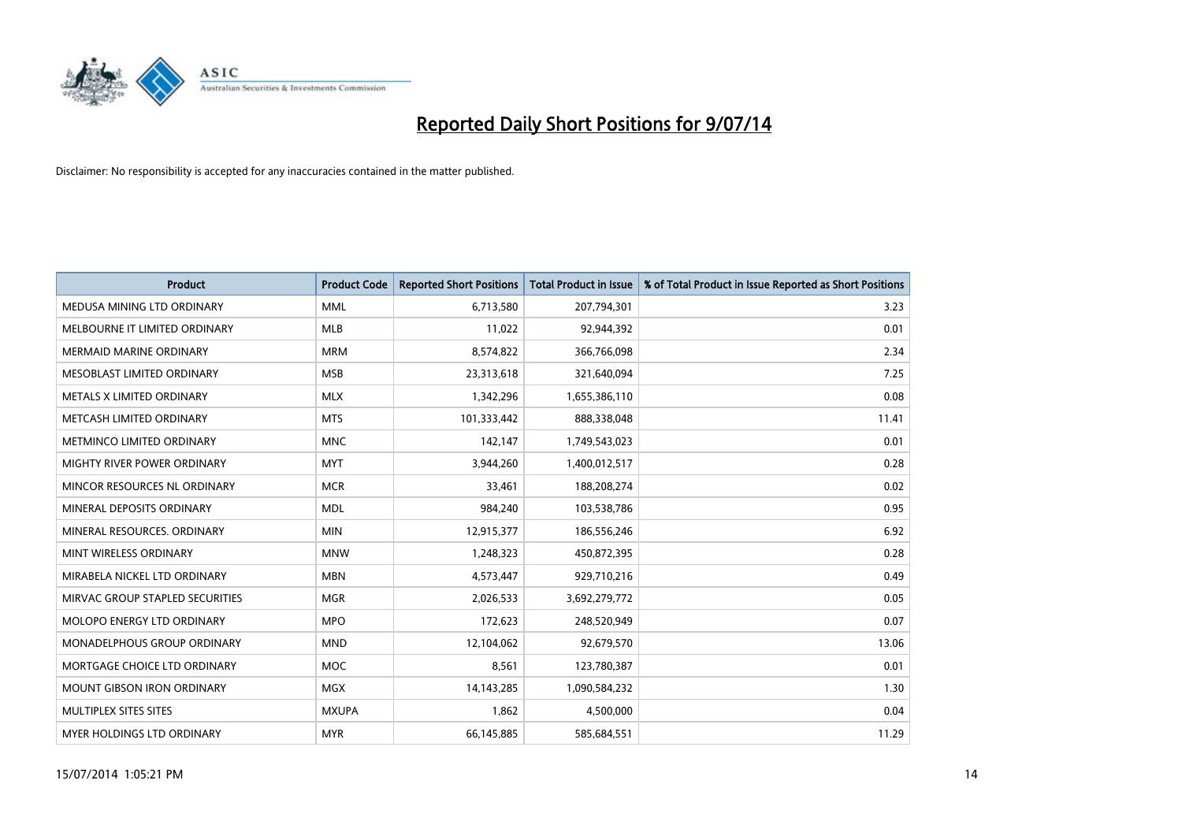

| <b>Product</b>                    | <b>Product Code</b> | <b>Reported Short Positions</b> | <b>Total Product in Issue</b> | % of Total Product in Issue Reported as Short Positions |
|-----------------------------------|---------------------|---------------------------------|-------------------------------|---------------------------------------------------------|
| MEDUSA MINING LTD ORDINARY        | <b>MML</b>          | 6,713,580                       | 207,794,301                   | 3.23                                                    |
| MELBOURNE IT LIMITED ORDINARY     | <b>MLB</b>          | 11,022                          | 92,944,392                    | 0.01                                                    |
| <b>MERMAID MARINE ORDINARY</b>    | <b>MRM</b>          | 8,574,822                       | 366,766,098                   | 2.34                                                    |
| MESOBLAST LIMITED ORDINARY        | <b>MSB</b>          | 23,313,618                      | 321,640,094                   | 7.25                                                    |
| METALS X LIMITED ORDINARY         | <b>MLX</b>          | 1,342,296                       | 1,655,386,110                 | 0.08                                                    |
| METCASH LIMITED ORDINARY          | <b>MTS</b>          | 101,333,442                     | 888,338,048                   | 11.41                                                   |
| METMINCO LIMITED ORDINARY         | <b>MNC</b>          | 142,147                         | 1,749,543,023                 | 0.01                                                    |
| MIGHTY RIVER POWER ORDINARY       | <b>MYT</b>          | 3,944,260                       | 1,400,012,517                 | 0.28                                                    |
| MINCOR RESOURCES NL ORDINARY      | <b>MCR</b>          | 33,461                          | 188,208,274                   | 0.02                                                    |
| MINERAL DEPOSITS ORDINARY         | <b>MDL</b>          | 984,240                         | 103,538,786                   | 0.95                                                    |
| MINERAL RESOURCES. ORDINARY       | <b>MIN</b>          | 12,915,377                      | 186,556,246                   | 6.92                                                    |
| MINT WIRELESS ORDINARY            | <b>MNW</b>          | 1,248,323                       | 450,872,395                   | 0.28                                                    |
| MIRABELA NICKEL LTD ORDINARY      | <b>MBN</b>          | 4,573,447                       | 929,710,216                   | 0.49                                                    |
| MIRVAC GROUP STAPLED SECURITIES   | <b>MGR</b>          | 2,026,533                       | 3,692,279,772                 | 0.05                                                    |
| MOLOPO ENERGY LTD ORDINARY        | <b>MPO</b>          | 172,623                         | 248,520,949                   | 0.07                                                    |
| MONADELPHOUS GROUP ORDINARY       | <b>MND</b>          | 12,104,062                      | 92,679,570                    | 13.06                                                   |
| MORTGAGE CHOICE LTD ORDINARY      | <b>MOC</b>          | 8,561                           | 123,780,387                   | 0.01                                                    |
| <b>MOUNT GIBSON IRON ORDINARY</b> | <b>MGX</b>          | 14, 143, 285                    | 1,090,584,232                 | 1.30                                                    |
| MULTIPLEX SITES SITES             | <b>MXUPA</b>        | 1,862                           | 4,500,000                     | 0.04                                                    |
| MYER HOLDINGS LTD ORDINARY        | <b>MYR</b>          | 66,145,885                      | 585,684,551                   | 11.29                                                   |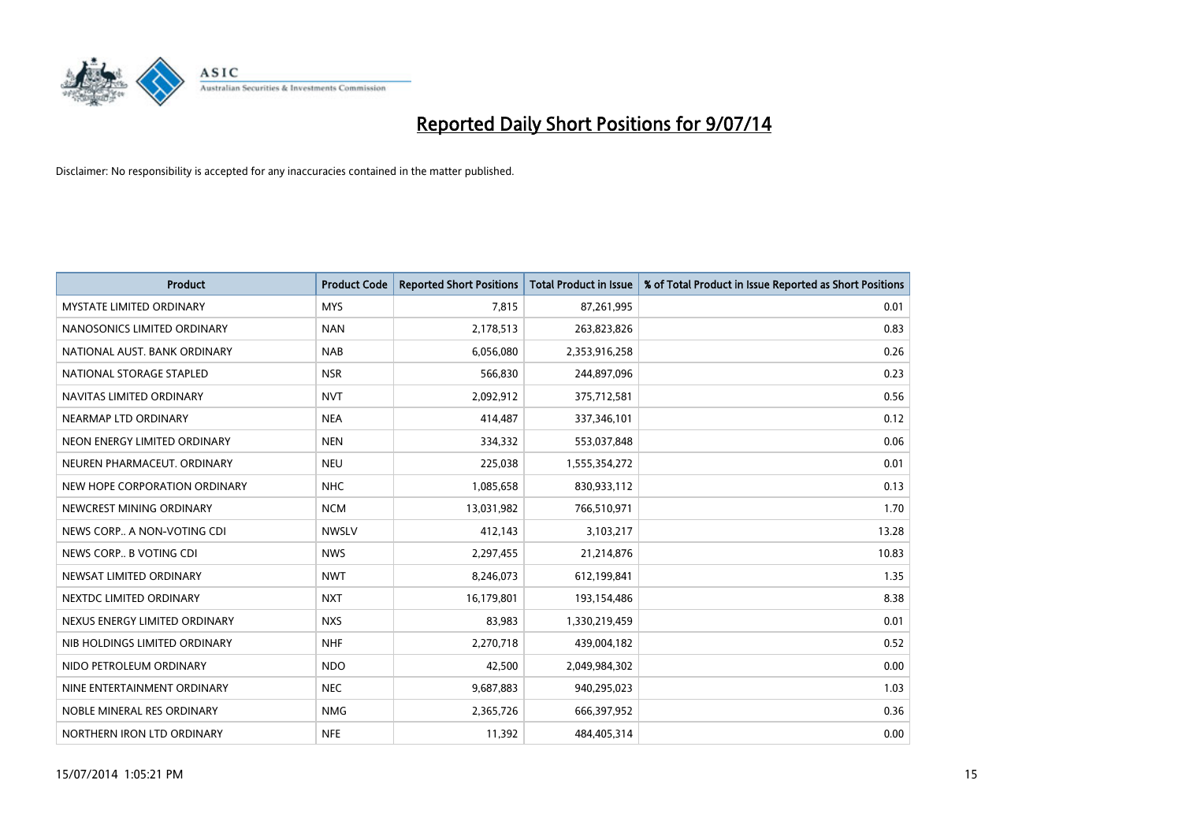

| <b>Product</b>                  | <b>Product Code</b> | <b>Reported Short Positions</b> | <b>Total Product in Issue</b> | % of Total Product in Issue Reported as Short Positions |
|---------------------------------|---------------------|---------------------------------|-------------------------------|---------------------------------------------------------|
| <b>MYSTATE LIMITED ORDINARY</b> | <b>MYS</b>          | 7,815                           | 87,261,995                    | 0.01                                                    |
| NANOSONICS LIMITED ORDINARY     | <b>NAN</b>          | 2,178,513                       | 263,823,826                   | 0.83                                                    |
| NATIONAL AUST. BANK ORDINARY    | <b>NAB</b>          | 6,056,080                       | 2,353,916,258                 | 0.26                                                    |
| NATIONAL STORAGE STAPLED        | <b>NSR</b>          | 566,830                         | 244,897,096                   | 0.23                                                    |
| NAVITAS LIMITED ORDINARY        | <b>NVT</b>          | 2,092,912                       | 375,712,581                   | 0.56                                                    |
| NEARMAP LTD ORDINARY            | <b>NEA</b>          | 414,487                         | 337,346,101                   | 0.12                                                    |
| NEON ENERGY LIMITED ORDINARY    | <b>NEN</b>          | 334,332                         | 553,037,848                   | 0.06                                                    |
| NEUREN PHARMACEUT. ORDINARY     | <b>NEU</b>          | 225,038                         | 1,555,354,272                 | 0.01                                                    |
| NEW HOPE CORPORATION ORDINARY   | <b>NHC</b>          | 1,085,658                       | 830,933,112                   | 0.13                                                    |
| NEWCREST MINING ORDINARY        | <b>NCM</b>          | 13,031,982                      | 766,510,971                   | 1.70                                                    |
| NEWS CORP A NON-VOTING CDI      | <b>NWSLV</b>        | 412,143                         | 3,103,217                     | 13.28                                                   |
| NEWS CORP B VOTING CDI          | <b>NWS</b>          | 2,297,455                       | 21,214,876                    | 10.83                                                   |
| NEWSAT LIMITED ORDINARY         | <b>NWT</b>          | 8,246,073                       | 612,199,841                   | 1.35                                                    |
| NEXTDC LIMITED ORDINARY         | <b>NXT</b>          | 16,179,801                      | 193,154,486                   | 8.38                                                    |
| NEXUS ENERGY LIMITED ORDINARY   | <b>NXS</b>          | 83,983                          | 1,330,219,459                 | 0.01                                                    |
| NIB HOLDINGS LIMITED ORDINARY   | <b>NHF</b>          | 2,270,718                       | 439,004,182                   | 0.52                                                    |
| NIDO PETROLEUM ORDINARY         | <b>NDO</b>          | 42,500                          | 2,049,984,302                 | 0.00                                                    |
| NINE ENTERTAINMENT ORDINARY     | <b>NEC</b>          | 9,687,883                       | 940,295,023                   | 1.03                                                    |
| NOBLE MINERAL RES ORDINARY      | <b>NMG</b>          | 2,365,726                       | 666,397,952                   | 0.36                                                    |
| NORTHERN IRON LTD ORDINARY      | <b>NFE</b>          | 11,392                          | 484,405,314                   | 0.00                                                    |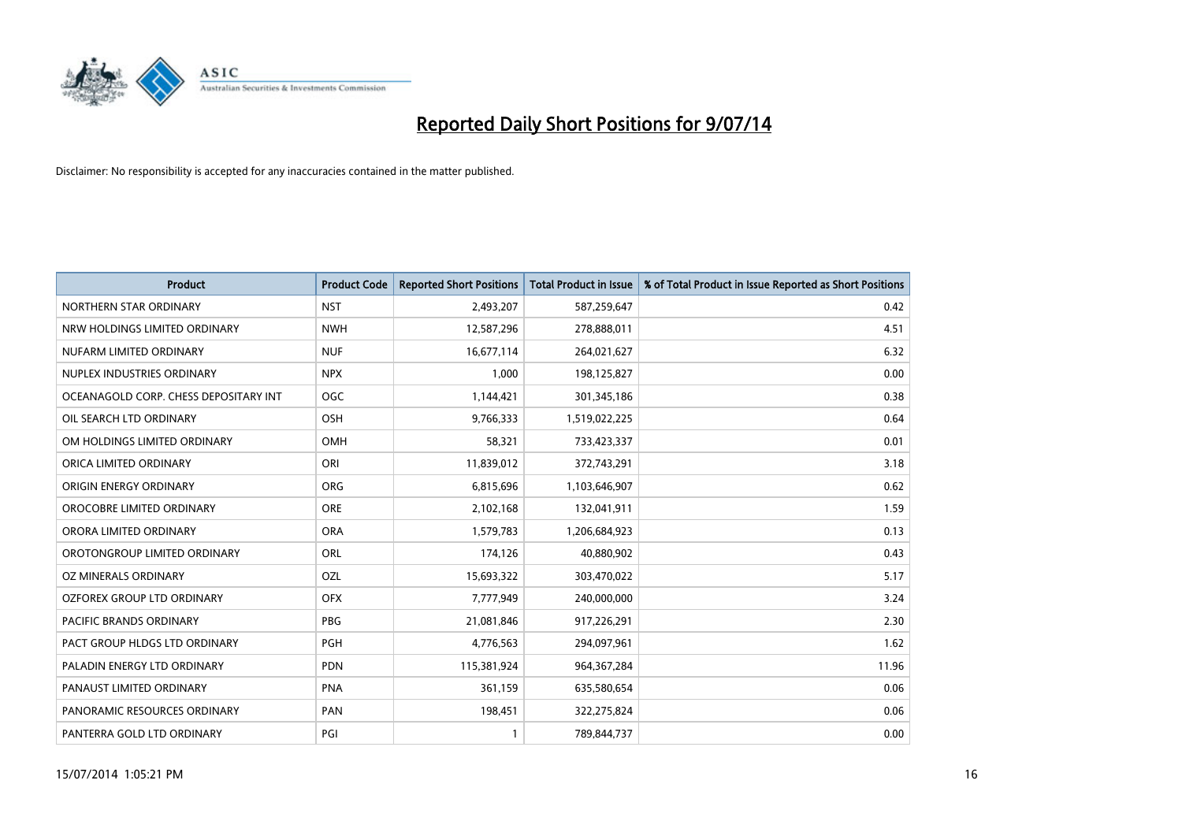

| <b>Product</b>                        | <b>Product Code</b> | <b>Reported Short Positions</b> | <b>Total Product in Issue</b> | % of Total Product in Issue Reported as Short Positions |
|---------------------------------------|---------------------|---------------------------------|-------------------------------|---------------------------------------------------------|
| NORTHERN STAR ORDINARY                | <b>NST</b>          | 2,493,207                       | 587,259,647                   | 0.42                                                    |
| NRW HOLDINGS LIMITED ORDINARY         | <b>NWH</b>          | 12,587,296                      | 278,888,011                   | 4.51                                                    |
| NUFARM LIMITED ORDINARY               | <b>NUF</b>          | 16,677,114                      | 264,021,627                   | 6.32                                                    |
| NUPLEX INDUSTRIES ORDINARY            | <b>NPX</b>          | 1.000                           | 198,125,827                   | 0.00                                                    |
| OCEANAGOLD CORP. CHESS DEPOSITARY INT | <b>OGC</b>          | 1,144,421                       | 301,345,186                   | 0.38                                                    |
| OIL SEARCH LTD ORDINARY               | OSH                 | 9,766,333                       | 1,519,022,225                 | 0.64                                                    |
| OM HOLDINGS LIMITED ORDINARY          | OMH                 | 58,321                          | 733,423,337                   | 0.01                                                    |
| ORICA LIMITED ORDINARY                | ORI                 | 11,839,012                      | 372,743,291                   | 3.18                                                    |
| ORIGIN ENERGY ORDINARY                | <b>ORG</b>          | 6,815,696                       | 1,103,646,907                 | 0.62                                                    |
| OROCOBRE LIMITED ORDINARY             | ORE                 | 2,102,168                       | 132,041,911                   | 1.59                                                    |
| ORORA LIMITED ORDINARY                | <b>ORA</b>          | 1,579,783                       | 1,206,684,923                 | 0.13                                                    |
| OROTONGROUP LIMITED ORDINARY          | <b>ORL</b>          | 174,126                         | 40,880,902                    | 0.43                                                    |
| OZ MINERALS ORDINARY                  | OZL                 | 15,693,322                      | 303,470,022                   | 5.17                                                    |
| OZFOREX GROUP LTD ORDINARY            | <b>OFX</b>          | 7,777,949                       | 240,000,000                   | 3.24                                                    |
| PACIFIC BRANDS ORDINARY               | <b>PBG</b>          | 21,081,846                      | 917,226,291                   | 2.30                                                    |
| PACT GROUP HLDGS LTD ORDINARY         | PGH                 | 4,776,563                       | 294,097,961                   | 1.62                                                    |
| PALADIN ENERGY LTD ORDINARY           | PDN                 | 115,381,924                     | 964, 367, 284                 | 11.96                                                   |
| PANAUST LIMITED ORDINARY              | <b>PNA</b>          | 361,159                         | 635,580,654                   | 0.06                                                    |
| PANORAMIC RESOURCES ORDINARY          | PAN                 | 198,451                         | 322,275,824                   | 0.06                                                    |
| PANTERRA GOLD LTD ORDINARY            | PGI                 | 1                               | 789,844,737                   | 0.00                                                    |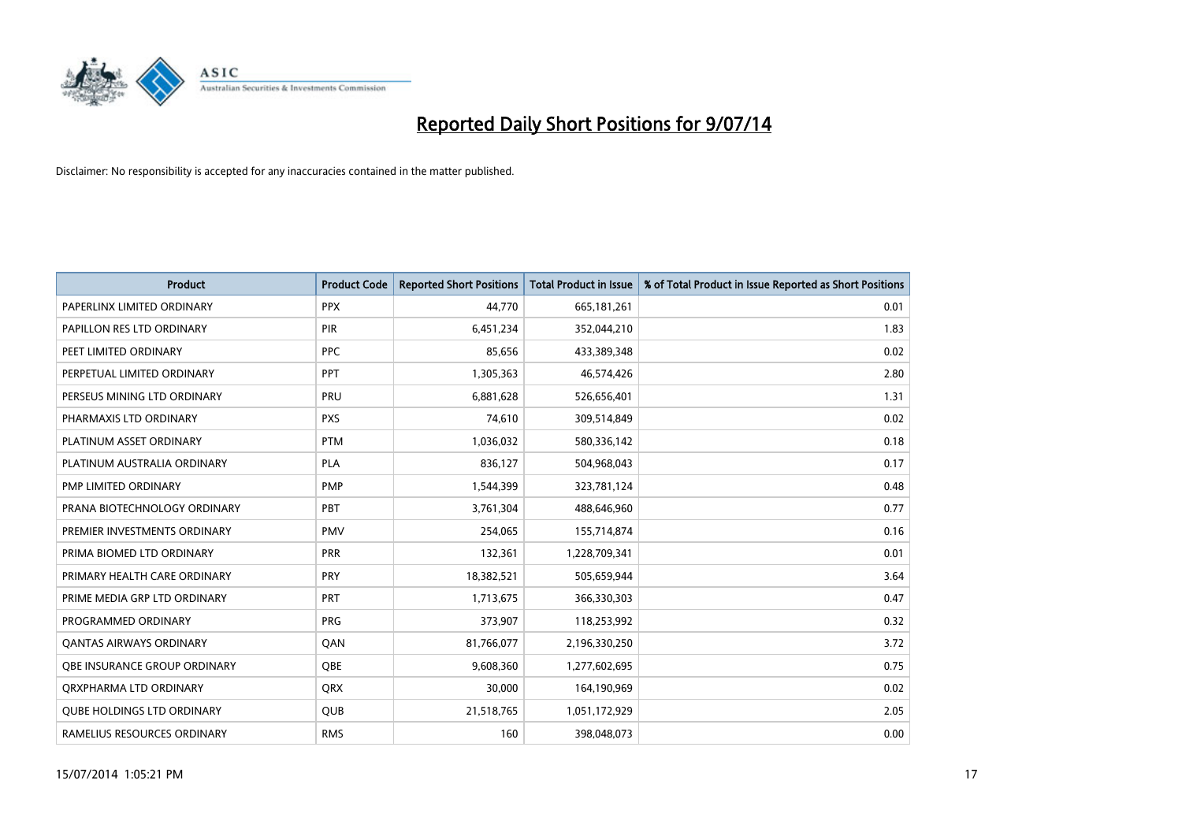

| <b>Product</b>                    | <b>Product Code</b> | <b>Reported Short Positions</b> | <b>Total Product in Issue</b> | % of Total Product in Issue Reported as Short Positions |
|-----------------------------------|---------------------|---------------------------------|-------------------------------|---------------------------------------------------------|
| PAPERLINX LIMITED ORDINARY        | <b>PPX</b>          | 44,770                          | 665, 181, 261                 | 0.01                                                    |
| PAPILLON RES LTD ORDINARY         | PIR                 | 6,451,234                       | 352,044,210                   | 1.83                                                    |
| PEET LIMITED ORDINARY             | <b>PPC</b>          | 85,656                          | 433,389,348                   | 0.02                                                    |
| PERPETUAL LIMITED ORDINARY        | <b>PPT</b>          | 1,305,363                       | 46,574,426                    | 2.80                                                    |
| PERSEUS MINING LTD ORDINARY       | PRU                 | 6,881,628                       | 526,656,401                   | 1.31                                                    |
| PHARMAXIS LTD ORDINARY            | <b>PXS</b>          | 74,610                          | 309,514,849                   | 0.02                                                    |
| PLATINUM ASSET ORDINARY           | <b>PTM</b>          | 1,036,032                       | 580,336,142                   | 0.18                                                    |
| PLATINUM AUSTRALIA ORDINARY       | <b>PLA</b>          | 836,127                         | 504,968,043                   | 0.17                                                    |
| PMP LIMITED ORDINARY              | <b>PMP</b>          | 1,544,399                       | 323,781,124                   | 0.48                                                    |
| PRANA BIOTECHNOLOGY ORDINARY      | PBT                 | 3,761,304                       | 488,646,960                   | 0.77                                                    |
| PREMIER INVESTMENTS ORDINARY      | <b>PMV</b>          | 254,065                         | 155,714,874                   | 0.16                                                    |
| PRIMA BIOMED LTD ORDINARY         | <b>PRR</b>          | 132,361                         | 1,228,709,341                 | 0.01                                                    |
| PRIMARY HEALTH CARE ORDINARY      | <b>PRY</b>          | 18,382,521                      | 505,659,944                   | 3.64                                                    |
| PRIME MEDIA GRP LTD ORDINARY      | PRT                 | 1,713,675                       | 366,330,303                   | 0.47                                                    |
| PROGRAMMED ORDINARY               | <b>PRG</b>          | 373,907                         | 118,253,992                   | 0.32                                                    |
| <b>QANTAS AIRWAYS ORDINARY</b>    | QAN                 | 81,766,077                      | 2,196,330,250                 | 3.72                                                    |
| OBE INSURANCE GROUP ORDINARY      | <b>OBE</b>          | 9,608,360                       | 1,277,602,695                 | 0.75                                                    |
| ORXPHARMA LTD ORDINARY            | QRX                 | 30,000                          | 164,190,969                   | 0.02                                                    |
| <b>QUBE HOLDINGS LTD ORDINARY</b> | <b>QUB</b>          | 21,518,765                      | 1,051,172,929                 | 2.05                                                    |
| RAMELIUS RESOURCES ORDINARY       | <b>RMS</b>          | 160                             | 398,048,073                   | 0.00                                                    |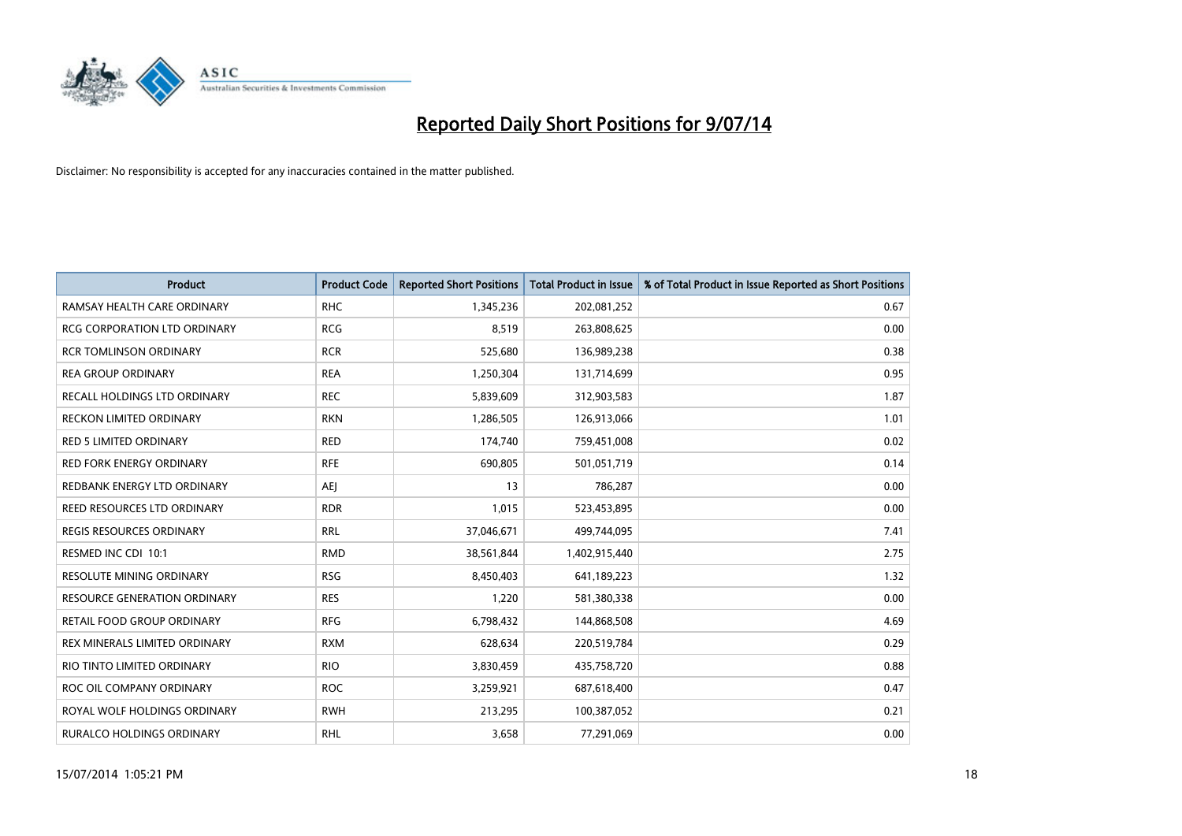

| <b>Product</b>                      | <b>Product Code</b> | <b>Reported Short Positions</b> | <b>Total Product in Issue</b> | % of Total Product in Issue Reported as Short Positions |
|-------------------------------------|---------------------|---------------------------------|-------------------------------|---------------------------------------------------------|
| RAMSAY HEALTH CARE ORDINARY         | <b>RHC</b>          | 1,345,236                       | 202,081,252                   | 0.67                                                    |
| RCG CORPORATION LTD ORDINARY        | <b>RCG</b>          | 8,519                           | 263,808,625                   | 0.00                                                    |
| RCR TOMLINSON ORDINARY              | <b>RCR</b>          | 525,680                         | 136,989,238                   | 0.38                                                    |
| <b>REA GROUP ORDINARY</b>           | <b>REA</b>          | 1,250,304                       | 131,714,699                   | 0.95                                                    |
| RECALL HOLDINGS LTD ORDINARY        | <b>REC</b>          | 5,839,609                       | 312,903,583                   | 1.87                                                    |
| <b>RECKON LIMITED ORDINARY</b>      | <b>RKN</b>          | 1,286,505                       | 126,913,066                   | 1.01                                                    |
| RED 5 LIMITED ORDINARY              | <b>RED</b>          | 174,740                         | 759,451,008                   | 0.02                                                    |
| RED FORK ENERGY ORDINARY            | <b>RFE</b>          | 690,805                         | 501,051,719                   | 0.14                                                    |
| REDBANK ENERGY LTD ORDINARY         | AEJ                 | 13                              | 786,287                       | 0.00                                                    |
| REED RESOURCES LTD ORDINARY         | <b>RDR</b>          | 1,015                           | 523,453,895                   | 0.00                                                    |
| <b>REGIS RESOURCES ORDINARY</b>     | <b>RRL</b>          | 37,046,671                      | 499,744,095                   | 7.41                                                    |
| RESMED INC CDI 10:1                 | <b>RMD</b>          | 38,561,844                      | 1,402,915,440                 | 2.75                                                    |
| RESOLUTE MINING ORDINARY            | <b>RSG</b>          | 8,450,403                       | 641,189,223                   | 1.32                                                    |
| <b>RESOURCE GENERATION ORDINARY</b> | <b>RES</b>          | 1,220                           | 581,380,338                   | 0.00                                                    |
| <b>RETAIL FOOD GROUP ORDINARY</b>   | <b>RFG</b>          | 6,798,432                       | 144,868,508                   | 4.69                                                    |
| REX MINERALS LIMITED ORDINARY       | <b>RXM</b>          | 628,634                         | 220,519,784                   | 0.29                                                    |
| RIO TINTO LIMITED ORDINARY          | <b>RIO</b>          | 3,830,459                       | 435,758,720                   | 0.88                                                    |
| ROC OIL COMPANY ORDINARY            | <b>ROC</b>          | 3,259,921                       | 687,618,400                   | 0.47                                                    |
| ROYAL WOLF HOLDINGS ORDINARY        | <b>RWH</b>          | 213,295                         | 100,387,052                   | 0.21                                                    |
| <b>RURALCO HOLDINGS ORDINARY</b>    | <b>RHL</b>          | 3,658                           | 77,291,069                    | 0.00                                                    |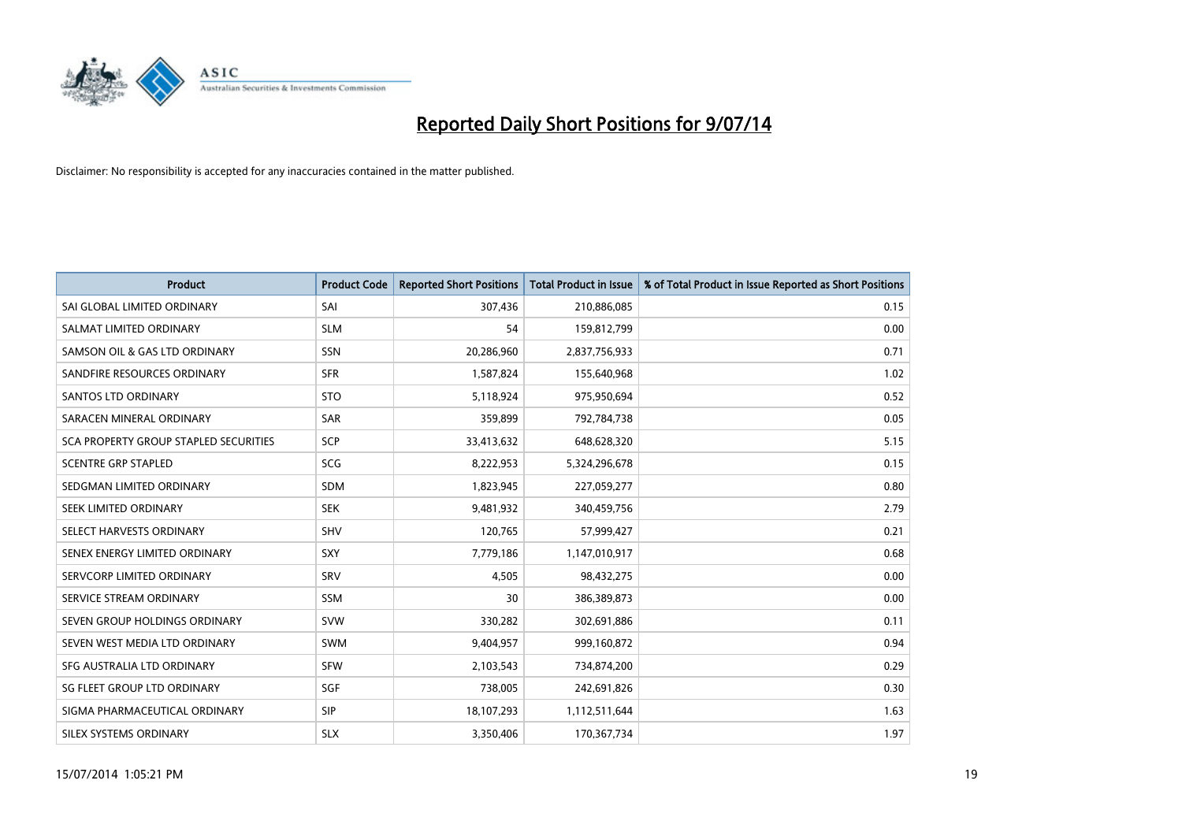

| <b>Product</b>                        | <b>Product Code</b> | <b>Reported Short Positions</b> | <b>Total Product in Issue</b> | % of Total Product in Issue Reported as Short Positions |
|---------------------------------------|---------------------|---------------------------------|-------------------------------|---------------------------------------------------------|
| SAI GLOBAL LIMITED ORDINARY           | SAI                 | 307,436                         | 210,886,085                   | 0.15                                                    |
| SALMAT LIMITED ORDINARY               | <b>SLM</b>          | 54                              | 159,812,799                   | 0.00                                                    |
| SAMSON OIL & GAS LTD ORDINARY         | SSN                 | 20,286,960                      | 2,837,756,933                 | 0.71                                                    |
| SANDFIRE RESOURCES ORDINARY           | <b>SFR</b>          | 1,587,824                       | 155,640,968                   | 1.02                                                    |
| SANTOS LTD ORDINARY                   | <b>STO</b>          | 5,118,924                       | 975,950,694                   | 0.52                                                    |
| SARACEN MINERAL ORDINARY              | SAR                 | 359,899                         | 792,784,738                   | 0.05                                                    |
| SCA PROPERTY GROUP STAPLED SECURITIES | <b>SCP</b>          | 33,413,632                      | 648,628,320                   | 5.15                                                    |
| <b>SCENTRE GRP STAPLED</b>            | SCG                 | 8,222,953                       | 5,324,296,678                 | 0.15                                                    |
| SEDGMAN LIMITED ORDINARY              | <b>SDM</b>          | 1,823,945                       | 227,059,277                   | 0.80                                                    |
| SEEK LIMITED ORDINARY                 | <b>SEK</b>          | 9,481,932                       | 340,459,756                   | 2.79                                                    |
| SELECT HARVESTS ORDINARY              | SHV                 | 120,765                         | 57,999,427                    | 0.21                                                    |
| SENEX ENERGY LIMITED ORDINARY         | <b>SXY</b>          | 7,779,186                       | 1,147,010,917                 | 0.68                                                    |
| SERVCORP LIMITED ORDINARY             | SRV                 | 4,505                           | 98,432,275                    | 0.00                                                    |
| SERVICE STREAM ORDINARY               | SSM                 | 30                              | 386,389,873                   | 0.00                                                    |
| SEVEN GROUP HOLDINGS ORDINARY         | <b>SVW</b>          | 330,282                         | 302,691,886                   | 0.11                                                    |
| SEVEN WEST MEDIA LTD ORDINARY         | SWM                 | 9,404,957                       | 999,160,872                   | 0.94                                                    |
| SFG AUSTRALIA LTD ORDINARY            | <b>SFW</b>          | 2,103,543                       | 734,874,200                   | 0.29                                                    |
| SG FLEET GROUP LTD ORDINARY           | <b>SGF</b>          | 738,005                         | 242,691,826                   | 0.30                                                    |
| SIGMA PHARMACEUTICAL ORDINARY         | <b>SIP</b>          | 18,107,293                      | 1,112,511,644                 | 1.63                                                    |
| SILEX SYSTEMS ORDINARY                | <b>SLX</b>          | 3,350,406                       | 170,367,734                   | 1.97                                                    |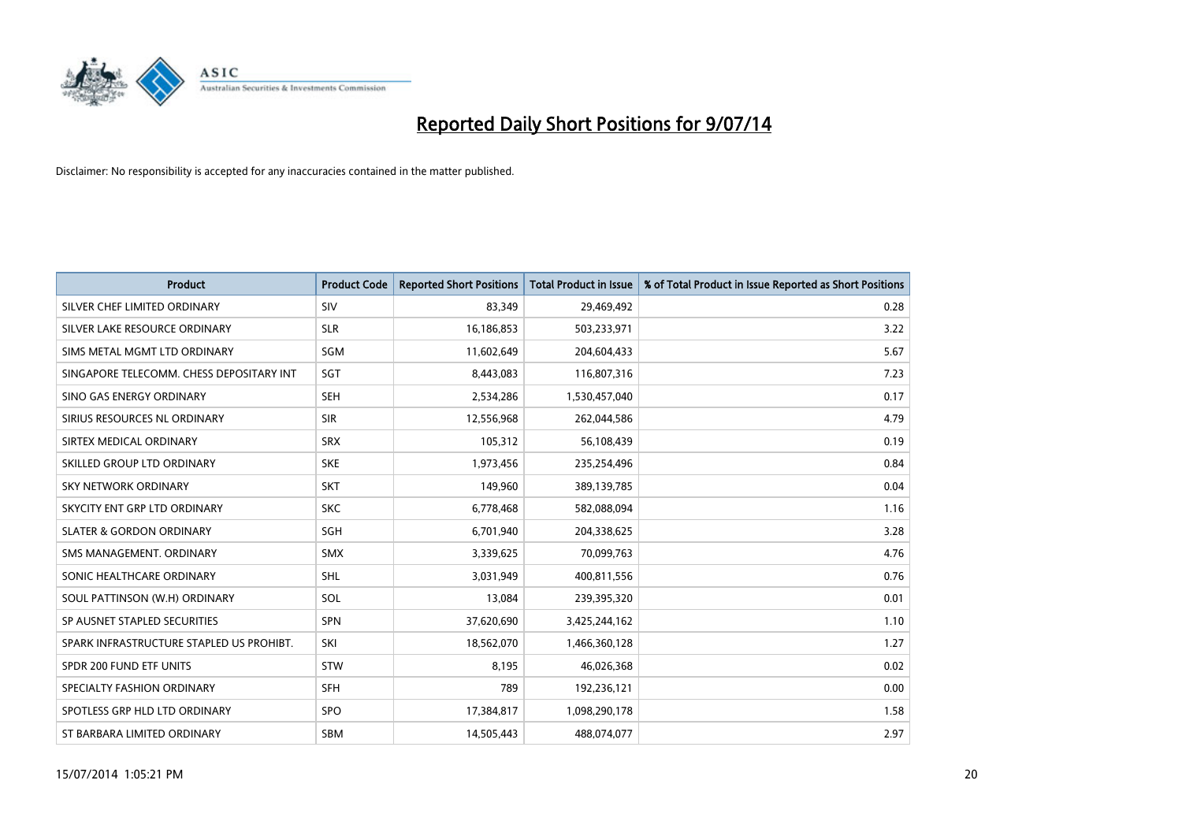

| <b>Product</b>                           | <b>Product Code</b> | <b>Reported Short Positions</b> | <b>Total Product in Issue</b> | % of Total Product in Issue Reported as Short Positions |
|------------------------------------------|---------------------|---------------------------------|-------------------------------|---------------------------------------------------------|
| SILVER CHEF LIMITED ORDINARY             | SIV                 | 83,349                          | 29,469,492                    | 0.28                                                    |
| SILVER LAKE RESOURCE ORDINARY            | <b>SLR</b>          | 16,186,853                      | 503,233,971                   | 3.22                                                    |
| SIMS METAL MGMT LTD ORDINARY             | SGM                 | 11,602,649                      | 204,604,433                   | 5.67                                                    |
| SINGAPORE TELECOMM. CHESS DEPOSITARY INT | SGT                 | 8,443,083                       | 116,807,316                   | 7.23                                                    |
| SINO GAS ENERGY ORDINARY                 | <b>SEH</b>          | 2,534,286                       | 1,530,457,040                 | 0.17                                                    |
| SIRIUS RESOURCES NL ORDINARY             | <b>SIR</b>          | 12,556,968                      | 262,044,586                   | 4.79                                                    |
| SIRTEX MEDICAL ORDINARY                  | <b>SRX</b>          | 105,312                         | 56,108,439                    | 0.19                                                    |
| SKILLED GROUP LTD ORDINARY               | <b>SKE</b>          | 1,973,456                       | 235,254,496                   | 0.84                                                    |
| <b>SKY NETWORK ORDINARY</b>              | <b>SKT</b>          | 149,960                         | 389,139,785                   | 0.04                                                    |
| SKYCITY ENT GRP LTD ORDINARY             | <b>SKC</b>          | 6,778,468                       | 582,088,094                   | 1.16                                                    |
| <b>SLATER &amp; GORDON ORDINARY</b>      | <b>SGH</b>          | 6,701,940                       | 204,338,625                   | 3.28                                                    |
| SMS MANAGEMENT, ORDINARY                 | <b>SMX</b>          | 3,339,625                       | 70,099,763                    | 4.76                                                    |
| SONIC HEALTHCARE ORDINARY                | <b>SHL</b>          | 3,031,949                       | 400,811,556                   | 0.76                                                    |
| SOUL PATTINSON (W.H) ORDINARY            | SOL                 | 13,084                          | 239,395,320                   | 0.01                                                    |
| SP AUSNET STAPLED SECURITIES             | <b>SPN</b>          | 37,620,690                      | 3,425,244,162                 | 1.10                                                    |
| SPARK INFRASTRUCTURE STAPLED US PROHIBT. | SKI                 | 18,562,070                      | 1,466,360,128                 | 1.27                                                    |
| SPDR 200 FUND ETF UNITS                  | <b>STW</b>          | 8,195                           | 46,026,368                    | 0.02                                                    |
| SPECIALTY FASHION ORDINARY               | <b>SFH</b>          | 789                             | 192,236,121                   | 0.00                                                    |
| SPOTLESS GRP HLD LTD ORDINARY            | <b>SPO</b>          | 17,384,817                      | 1,098,290,178                 | 1.58                                                    |
| ST BARBARA LIMITED ORDINARY              | <b>SBM</b>          | 14,505,443                      | 488,074,077                   | 2.97                                                    |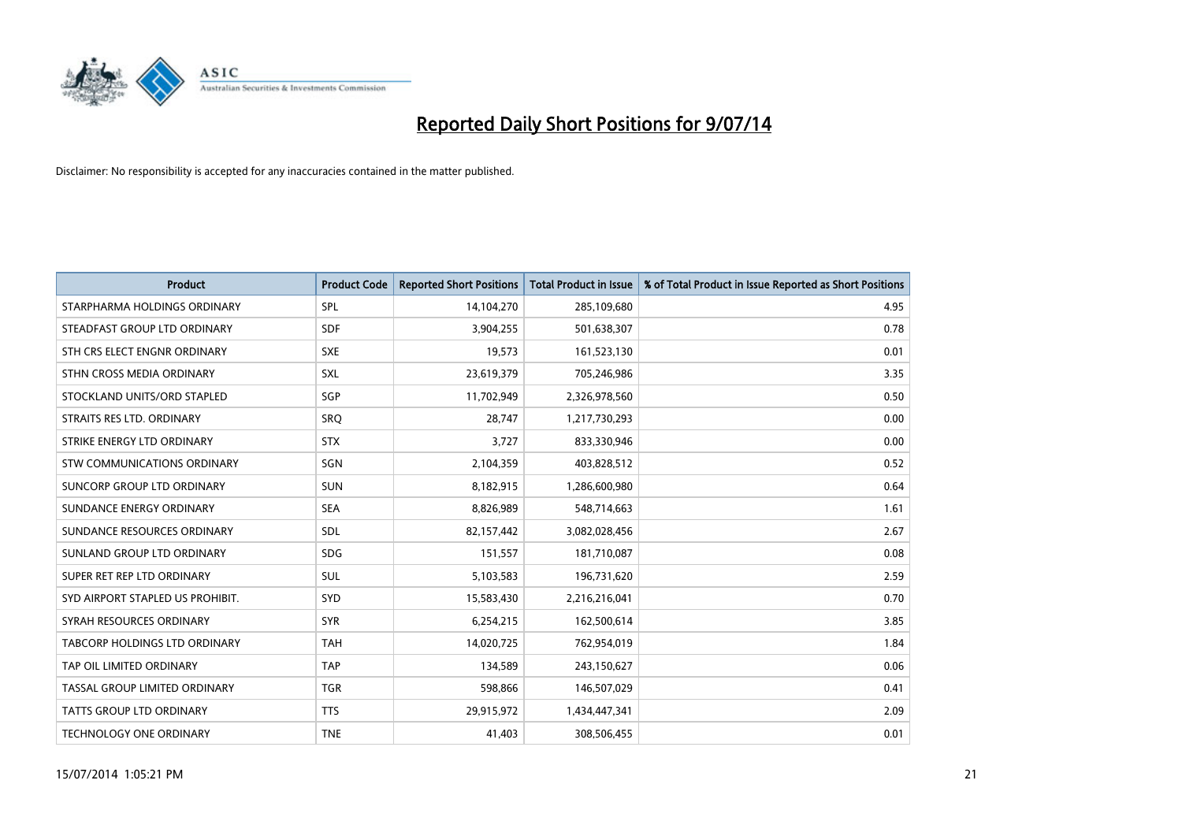

| <b>Product</b>                   | <b>Product Code</b> | <b>Reported Short Positions</b> | <b>Total Product in Issue</b> | % of Total Product in Issue Reported as Short Positions |
|----------------------------------|---------------------|---------------------------------|-------------------------------|---------------------------------------------------------|
| STARPHARMA HOLDINGS ORDINARY     | <b>SPL</b>          | 14,104,270                      | 285,109,680                   | 4.95                                                    |
| STEADFAST GROUP LTD ORDINARY     | <b>SDF</b>          | 3,904,255                       | 501,638,307                   | 0.78                                                    |
| STH CRS ELECT ENGNR ORDINARY     | <b>SXE</b>          | 19,573                          | 161,523,130                   | 0.01                                                    |
| STHN CROSS MEDIA ORDINARY        | SXL                 | 23,619,379                      | 705,246,986                   | 3.35                                                    |
| STOCKLAND UNITS/ORD STAPLED      | SGP                 | 11,702,949                      | 2,326,978,560                 | 0.50                                                    |
| STRAITS RES LTD. ORDINARY        | SRO                 | 28,747                          | 1,217,730,293                 | 0.00                                                    |
| STRIKE ENERGY LTD ORDINARY       | <b>STX</b>          | 3,727                           | 833,330,946                   | 0.00                                                    |
| STW COMMUNICATIONS ORDINARY      | SGN                 | 2,104,359                       | 403,828,512                   | 0.52                                                    |
| SUNCORP GROUP LTD ORDINARY       | <b>SUN</b>          | 8,182,915                       | 1,286,600,980                 | 0.64                                                    |
| SUNDANCE ENERGY ORDINARY         | <b>SEA</b>          | 8,826,989                       | 548,714,663                   | 1.61                                                    |
| SUNDANCE RESOURCES ORDINARY      | <b>SDL</b>          | 82,157,442                      | 3,082,028,456                 | 2.67                                                    |
| SUNLAND GROUP LTD ORDINARY       | <b>SDG</b>          | 151,557                         | 181,710,087                   | 0.08                                                    |
| SUPER RET REP LTD ORDINARY       | SUL                 | 5,103,583                       | 196,731,620                   | 2.59                                                    |
| SYD AIRPORT STAPLED US PROHIBIT. | <b>SYD</b>          | 15,583,430                      | 2,216,216,041                 | 0.70                                                    |
| SYRAH RESOURCES ORDINARY         | <b>SYR</b>          | 6,254,215                       | 162,500,614                   | 3.85                                                    |
| TABCORP HOLDINGS LTD ORDINARY    | <b>TAH</b>          | 14,020,725                      | 762,954,019                   | 1.84                                                    |
| TAP OIL LIMITED ORDINARY         | <b>TAP</b>          | 134,589                         | 243,150,627                   | 0.06                                                    |
| TASSAL GROUP LIMITED ORDINARY    | <b>TGR</b>          | 598,866                         | 146,507,029                   | 0.41                                                    |
| <b>TATTS GROUP LTD ORDINARY</b>  | <b>TTS</b>          | 29,915,972                      | 1,434,447,341                 | 2.09                                                    |
| TECHNOLOGY ONE ORDINARY          | <b>TNE</b>          | 41,403                          | 308,506,455                   | 0.01                                                    |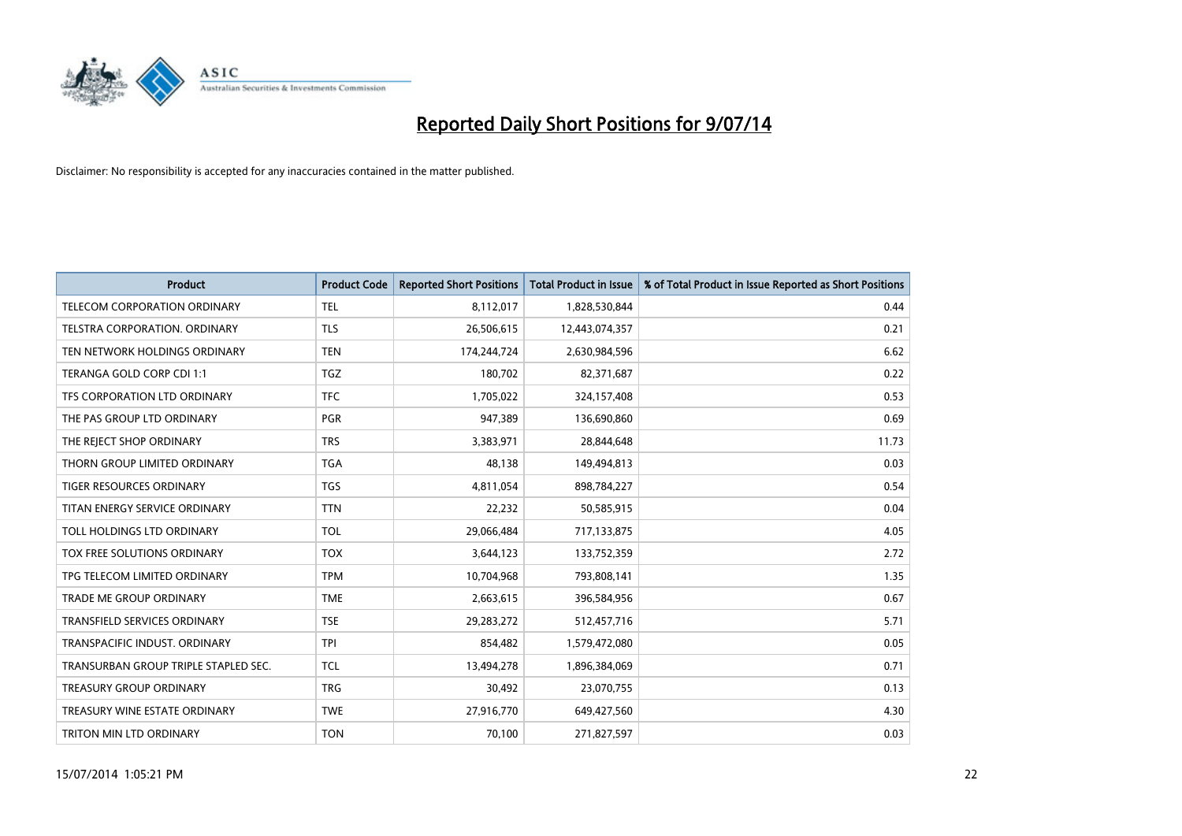

| <b>Product</b>                       | <b>Product Code</b> | <b>Reported Short Positions</b> | <b>Total Product in Issue</b> | % of Total Product in Issue Reported as Short Positions |
|--------------------------------------|---------------------|---------------------------------|-------------------------------|---------------------------------------------------------|
| <b>TELECOM CORPORATION ORDINARY</b>  | <b>TEL</b>          | 8,112,017                       | 1,828,530,844                 | 0.44                                                    |
| TELSTRA CORPORATION. ORDINARY        | <b>TLS</b>          | 26,506,615                      | 12,443,074,357                | 0.21                                                    |
| TEN NETWORK HOLDINGS ORDINARY        | <b>TEN</b>          | 174,244,724                     | 2,630,984,596                 | 6.62                                                    |
| TERANGA GOLD CORP CDI 1:1            | <b>TGZ</b>          | 180,702                         | 82,371,687                    | 0.22                                                    |
| TFS CORPORATION LTD ORDINARY         | <b>TFC</b>          | 1,705,022                       | 324,157,408                   | 0.53                                                    |
| THE PAS GROUP LTD ORDINARY           | <b>PGR</b>          | 947,389                         | 136,690,860                   | 0.69                                                    |
| THE REJECT SHOP ORDINARY             | <b>TRS</b>          | 3,383,971                       | 28,844,648                    | 11.73                                                   |
| THORN GROUP LIMITED ORDINARY         | <b>TGA</b>          | 48,138                          | 149,494,813                   | 0.03                                                    |
| <b>TIGER RESOURCES ORDINARY</b>      | <b>TGS</b>          | 4,811,054                       | 898,784,227                   | 0.54                                                    |
| TITAN ENERGY SERVICE ORDINARY        | <b>TTN</b>          | 22,232                          | 50,585,915                    | 0.04                                                    |
| TOLL HOLDINGS LTD ORDINARY           | <b>TOL</b>          | 29,066,484                      | 717,133,875                   | 4.05                                                    |
| TOX FREE SOLUTIONS ORDINARY          | <b>TOX</b>          | 3,644,123                       | 133,752,359                   | 2.72                                                    |
| TPG TELECOM LIMITED ORDINARY         | <b>TPM</b>          | 10,704,968                      | 793,808,141                   | 1.35                                                    |
| <b>TRADE ME GROUP ORDINARY</b>       | <b>TME</b>          | 2,663,615                       | 396,584,956                   | 0.67                                                    |
| TRANSFIELD SERVICES ORDINARY         | <b>TSE</b>          | 29,283,272                      | 512,457,716                   | 5.71                                                    |
| TRANSPACIFIC INDUST. ORDINARY        | <b>TPI</b>          | 854,482                         | 1,579,472,080                 | 0.05                                                    |
| TRANSURBAN GROUP TRIPLE STAPLED SEC. | <b>TCL</b>          | 13,494,278                      | 1,896,384,069                 | 0.71                                                    |
| <b>TREASURY GROUP ORDINARY</b>       | <b>TRG</b>          | 30,492                          | 23,070,755                    | 0.13                                                    |
| TREASURY WINE ESTATE ORDINARY        | <b>TWE</b>          | 27,916,770                      | 649,427,560                   | 4.30                                                    |
| TRITON MIN LTD ORDINARY              | <b>TON</b>          | 70,100                          | 271,827,597                   | 0.03                                                    |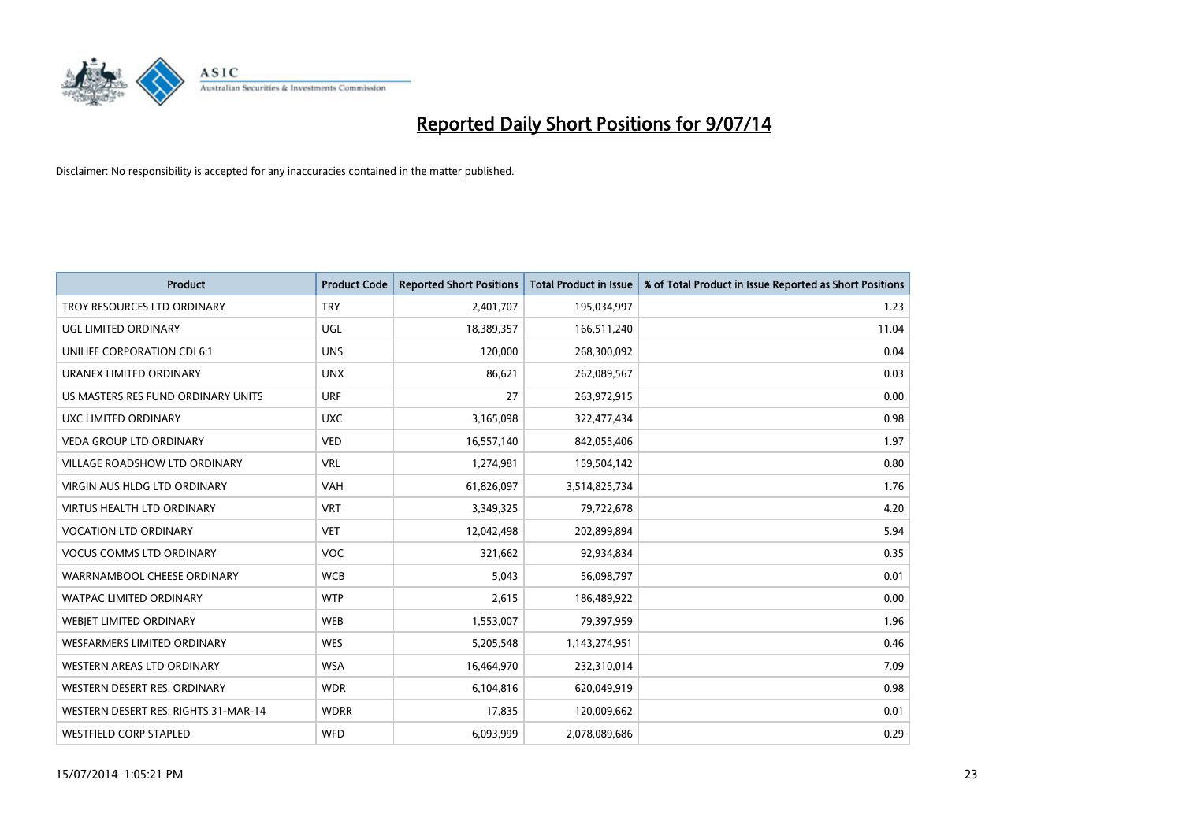

| <b>Product</b>                       | <b>Product Code</b> | <b>Reported Short Positions</b> | <b>Total Product in Issue</b> | % of Total Product in Issue Reported as Short Positions |
|--------------------------------------|---------------------|---------------------------------|-------------------------------|---------------------------------------------------------|
| TROY RESOURCES LTD ORDINARY          | <b>TRY</b>          | 2,401,707                       | 195,034,997                   | 1.23                                                    |
| UGL LIMITED ORDINARY                 | UGL                 | 18,389,357                      | 166,511,240                   | 11.04                                                   |
| UNILIFE CORPORATION CDI 6:1          | <b>UNS</b>          | 120,000                         | 268,300,092                   | 0.04                                                    |
| URANEX LIMITED ORDINARY              | <b>UNX</b>          | 86,621                          | 262,089,567                   | 0.03                                                    |
| US MASTERS RES FUND ORDINARY UNITS   | <b>URF</b>          | 27                              | 263,972,915                   | 0.00                                                    |
| UXC LIMITED ORDINARY                 | <b>UXC</b>          | 3,165,098                       | 322,477,434                   | 0.98                                                    |
| <b>VEDA GROUP LTD ORDINARY</b>       | <b>VED</b>          | 16,557,140                      | 842,055,406                   | 1.97                                                    |
| VILLAGE ROADSHOW LTD ORDINARY        | <b>VRL</b>          | 1,274,981                       | 159,504,142                   | 0.80                                                    |
| <b>VIRGIN AUS HLDG LTD ORDINARY</b>  | <b>VAH</b>          | 61,826,097                      | 3,514,825,734                 | 1.76                                                    |
| <b>VIRTUS HEALTH LTD ORDINARY</b>    | <b>VRT</b>          | 3,349,325                       | 79,722,678                    | 4.20                                                    |
| <b>VOCATION LTD ORDINARY</b>         | <b>VET</b>          | 12,042,498                      | 202,899,894                   | 5.94                                                    |
| <b>VOCUS COMMS LTD ORDINARY</b>      | <b>VOC</b>          | 321,662                         | 92,934,834                    | 0.35                                                    |
| WARRNAMBOOL CHEESE ORDINARY          | <b>WCB</b>          | 5,043                           | 56,098,797                    | 0.01                                                    |
| <b>WATPAC LIMITED ORDINARY</b>       | <b>WTP</b>          | 2,615                           | 186,489,922                   | 0.00                                                    |
| WEBJET LIMITED ORDINARY              | <b>WEB</b>          | 1,553,007                       | 79,397,959                    | 1.96                                                    |
| <b>WESFARMERS LIMITED ORDINARY</b>   | <b>WES</b>          | 5,205,548                       | 1,143,274,951                 | 0.46                                                    |
| WESTERN AREAS LTD ORDINARY           | <b>WSA</b>          | 16,464,970                      | 232,310,014                   | 7.09                                                    |
| WESTERN DESERT RES. ORDINARY         | <b>WDR</b>          | 6,104,816                       | 620,049,919                   | 0.98                                                    |
| WESTERN DESERT RES. RIGHTS 31-MAR-14 | <b>WDRR</b>         | 17,835                          | 120,009,662                   | 0.01                                                    |
| <b>WESTFIELD CORP STAPLED</b>        | WFD                 | 6,093,999                       | 2,078,089,686                 | 0.29                                                    |